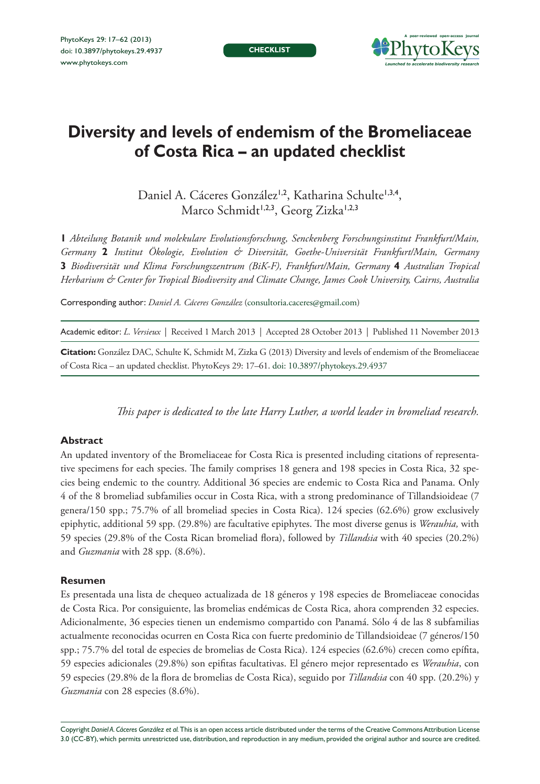**CHECKLIST**



# **Diversity and levels of endemism of the Bromeliaceae of Costa Rica – an updated checklist**

Daniel A. Cáceres González<sup>1,2</sup>, Katharina Schulte<sup>1,3,4</sup>, Marco Schmidt<sup>1,2,3</sup>, Georg Zizka<sup>1,2,3</sup>

**1** *Abteilung Botanik und molekulare Evolutionsforschung, Senckenberg Forschungsinstitut Frankfurt/Main, Germany* **2** *Institut Ökologie, Evolution & Diversität, Goethe-Universität Frankfurt/Main, Germany*  **3** *Biodiversität und Klima Forschungszentrum (BiK-F), Frankfurt/Main, Germany* **4** *Australian Tropical Herbarium & Center for Tropical Biodiversity and Climate Change, James Cook University, Cairns, Australia*

Corresponding author: *Daniel A. Cáceres González* [\(consultoria.caceres@gmail.com](mailto:consultoria.caceres@gmail.com))

Academic editor: *L. Versieux* | Received 1 March 2013 | Accepted 28 October 2013 | Published 11 November 2013

**Citation:** González DAC, Schulte K, Schmidt M, Zizka G (2013) Diversity and levels of endemism of the Bromeliaceae of Costa Rica – an updated checklist. PhytoKeys 29: 17–61. [doi: 10.3897/phytokeys.29.4937](http://dx.doi.org/10.3897/phytokeys.29.4937)

*This paper is dedicated to the late Harry Luther, a world leader in bromeliad research.*

#### **Abstract**

An updated inventory of the Bromeliaceae for Costa Rica is presented including citations of representative specimens for each species. The family comprises 18 genera and 198 species in Costa Rica, 32 species being endemic to the country. Additional 36 species are endemic to Costa Rica and Panama. Only 4 of the 8 bromeliad subfamilies occur in Costa Rica, with a strong predominance of Tillandsioideae (7 genera/150 spp.; 75.7% of all bromeliad species in Costa Rica). 124 species (62.6%) grow exclusively epiphytic, additional 59 spp. (29.8%) are facultative epiphytes. The most diverse genus is *Werauhia,* with 59 species (29.8% of the Costa Rican bromeliad flora), followed by *Tillandsia* with 40 species (20.2%) and *Guzmania* with 28 spp. (8.6%).

#### **Resumen**

Es presentada una lista de chequeo actualizada de 18 géneros y 198 especies de Bromeliaceae conocidas de Costa Rica. Por consiguiente, las bromelias endémicas de Costa Rica, ahora comprenden 32 especies. Adicionalmente, 36 especies tienen un endemismo compartido con Panamá. Sólo 4 de las 8 subfamilias actualmente reconocidas ocurren en Costa Rica con fuerte predominio de Tillandsioideae (7 géneros/150 spp.; 75.7% del total de especies de bromelias de Costa Rica). 124 especies (62.6%) crecen como epífita, 59 especies adicionales (29.8%) son epifitas facultativas. El género mejor representado es *Werauhia*, con 59 especies (29.8% de la flora de bromelias de Costa Rica), seguido por *Tillandsia* con 40 spp. (20.2%) y *Guzmania* con 28 especies (8.6%).

Copyright *Daniel A. Cáceres González et al.* This is an open access article distributed under the terms of the [Creative Commons Attribution License](http://creativecommons.org/licenses/by/3.0/)  [3.0 \(CC-BY\),](http://creativecommons.org/licenses/by/3.0/) which permits unrestricted use, distribution, and reproduction in any medium, provided the original author and source are credited.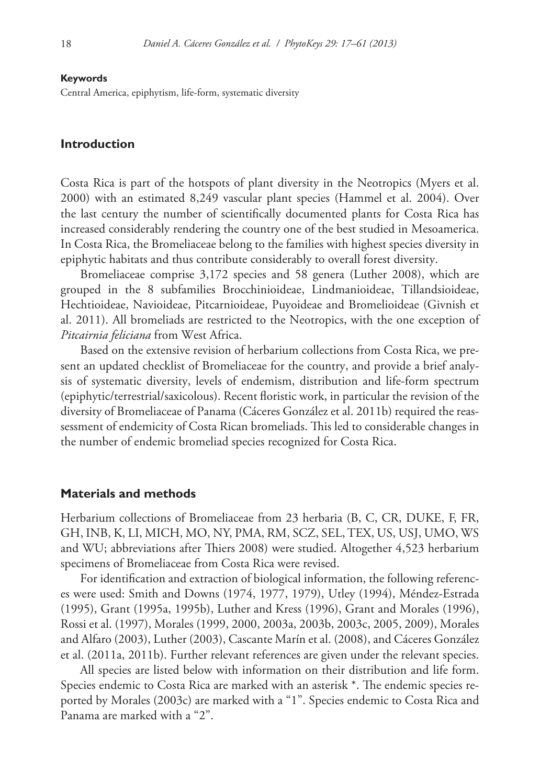#### **Keywords**

Central America, epiphytism, life-form, systematic diversity

#### **Introduction**

Costa Rica is part of the hotspots of plant diversity in the Neotropics (Myers et al. 2000) with an estimated 8,249 vascular plant species (Hammel et al. 2004). Over the last century the number of scientifically documented plants for Costa Rica has increased considerably rendering the country one of the best studied in Mesoamerica. In Costa Rica, the Bromeliaceae belong to the families with highest species diversity in epiphytic habitats and thus contribute considerably to overall forest diversity.

Bromeliaceae comprise 3,172 species and 58 genera (Luther 2008), which are grouped in the 8 subfamilies Brocchinioideae, Lindmanioideae, Tillandsioideae, Hechtioideae, Navioideae, Pitcarnioideae, Puyoideae and Bromelioideae (Givnish et al. 2011). All bromeliads are restricted to the Neotropics, with the one exception of *Pitcairnia feliciana* from West Africa.

Based on the extensive revision of herbarium collections from Costa Rica, we present an updated checklist of Bromeliaceae for the country, and provide a brief analysis of systematic diversity, levels of endemism, distribution and life-form spectrum (epiphytic/terrestrial/saxicolous). Recent floristic work, in particular the revision of the diversity of Bromeliaceae of Panama (Cáceres González et al. 2011b) required the reassessment of endemicity of Costa Rican bromeliads. This led to considerable changes in the number of endemic bromeliad species recognized for Costa Rica.

#### **Materials and methods**

Herbarium collections of Bromeliaceae from 23 herbaria (B, C, CR, DUKE, F, FR, GH, INB, K, LI, MICH, MO, NY, PMA, RM, SCZ, SEL, TEX, US, USJ, UMO, WS and WU; abbreviations after Thiers 2008) were studied. Altogether 4,523 herbarium specimens of Bromeliaceae from Costa Rica were revised.

For identification and extraction of biological information, the following references were used: Smith and Downs (1974, 1977, 1979), Utley (1994), Méndez-Estrada (1995), Grant (1995a, 1995b), Luther and Kress (1996), Grant and Morales (1996), Rossi et al. (1997), Morales (1999, 2000, 2003a, 2003b, 2003c, 2005, 2009), Morales and Alfaro (2003), Luther (2003), Cascante Marín et al. (2008), and Cáceres González et al. (2011a, 2011b). Further relevant references are given under the relevant species.

All species are listed below with information on their distribution and life form. Species endemic to Costa Rica are marked with an asterisk \*. The endemic species reported by Morales (2003c) are marked with a "1". Species endemic to Costa Rica and Panama are marked with a "2".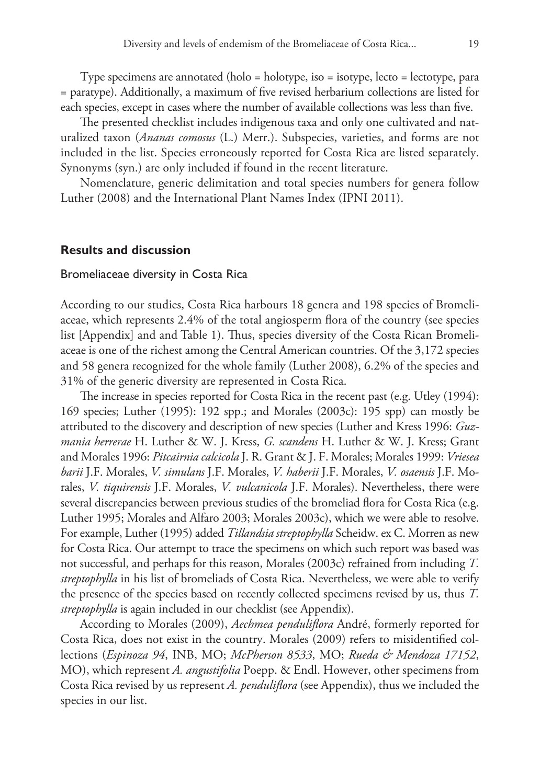Type specimens are annotated (holo = holotype, iso = isotype, lecto = lectotype, para = paratype). Additionally, a maximum of five revised herbarium collections are listed for each species, except in cases where the number of available collections was less than five.

The presented checklist includes indigenous taxa and only one cultivated and naturalized taxon (*Ananas comosus* (L.) Merr.). Subspecies, varieties, and forms are not included in the list. Species erroneously reported for Costa Rica are listed separately. Synonyms (syn.) are only included if found in the recent literature.

Nomenclature, generic delimitation and total species numbers for genera follow Luther (2008) and the International Plant Names Index (IPNI 2011).

#### **Results and discussion**

#### Bromeliaceae diversity in Costa Rica

According to our studies, Costa Rica harbours 18 genera and 198 species of Bromeliaceae, which represents 2.4% of the total angiosperm flora of the country (see species list [Appendix] and and Table 1). Thus, species diversity of the Costa Rican Bromeliaceae is one of the richest among the Central American countries. Of the 3,172 species and 58 genera recognized for the whole family (Luther 2008), 6.2% of the species and 31% of the generic diversity are represented in Costa Rica.

The increase in species reported for Costa Rica in the recent past (e.g. Utley (1994): 169 species; Luther (1995): 192 spp.; and Morales (2003c): 195 spp) can mostly be attributed to the discovery and description of new species (Luther and Kress 1996: *Guzmania herrerae* H. Luther & W. J. Kress, *G. scandens* H. Luther & W. J. Kress; Grant and Morales 1996: *Pitcairnia calcicola* J. R. Grant & J. F. Morales; Morales 1999: *Vriesea barii* J.F. Morales, *V. simulans* J.F. Morales, *V. haberii* J.F. Morales, *V. osaensis* J.F. Morales, *V. tiquirensis* J.F. Morales, *V. vulcanicola* J.F. Morales). Nevertheless, there were several discrepancies between previous studies of the bromeliad flora for Costa Rica (e.g. Luther 1995; Morales and Alfaro 2003; Morales 2003c), which we were able to resolve. For example, Luther (1995) added *Tillandsia streptophylla* Scheidw. ex C. Morren as new for Costa Rica. Our attempt to trace the specimens on which such report was based was not successful, and perhaps for this reason, Morales (2003c) refrained from including *T. streptophylla* in his list of bromeliads of Costa Rica. Nevertheless, we were able to verify the presence of the species based on recently collected specimens revised by us, thus *T. streptophylla* is again included in our checklist (see Appendix).

According to Morales (2009), *Aechmea penduliflora* André, formerly reported for Costa Rica, does not exist in the country. Morales (2009) refers to misidentified collections (*Espinoza 94*, INB, MO; *McPherson 8533*, MO; *Rueda & Mendoza 17152*, MO), which represent *A. angustifolia* Poepp. & Endl. However, other specimens from Costa Rica revised by us represent *A. penduliflora* (see Appendix), thus we included the species in our list.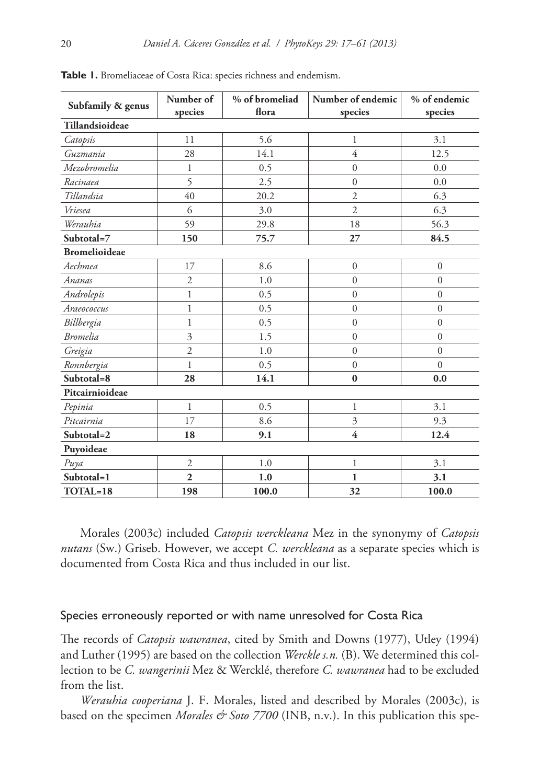| Subfamily & genus    | Number of      | % of bromeliad | Number of endemic | % of endemic   |
|----------------------|----------------|----------------|-------------------|----------------|
|                      | species        | flora          | species           | species        |
| Tillandsioideae      |                |                |                   |                |
| Catopsis             | 11             | 5.6            | $\mathbf{1}$      | 3.1            |
| Guzmania             | 28             | 14.1           | $\overline{4}$    | 12.5           |
| Mezobromelia         | $\mathbf{1}$   | 0.5            | $\boldsymbol{0}$  | 0.0            |
| Racinaea             | 5              | 2.5            | $\overline{0}$    | 0.0            |
| Tillandsia           | 40             | 20.2           | $\mathfrak{2}$    | 6.3            |
| Vriesea              | 6              | 3.0            | $\mathfrak{2}$    | 6.3            |
| Werauhia             | 59             | 29.8           | 18                | 56.3           |
| Subtotal=7           | 150            | 75.7           | 27                | 84.5           |
| <b>Bromelioideae</b> |                |                |                   |                |
| Aechmea              | 17             | 8.6            | $\mathbf{0}$      | $\mathbf{0}$   |
| Ananas               | $\overline{2}$ | 1.0            | $\overline{0}$    | $\overline{0}$ |
| Androlepis           | $\mathbf{1}$   | 0.5            | $\overline{0}$    | $\mathbf{0}$   |
| Araeococcus          | $\mathbf{1}$   | 0.5            | $\mathbf{0}$      | $\overline{0}$ |
| Billbergia           | $\mathbf{1}$   | 0.5            | $\overline{0}$    | $\overline{0}$ |
| <b>Bromelia</b>      | $\mathfrak{Z}$ | 1.5            | $\overline{0}$    | $\overline{0}$ |
| Greigia              | $\overline{2}$ | 1.0            | $\mathbf{0}$      | $\overline{0}$ |
| Ronnbergia           | $\mathbf{1}$   | 0.5            | $\boldsymbol{0}$  | $\Omega$       |
| Subtotal=8           | 28             | 14.1           | $\bf{0}$          | 0.0            |
| Pitcairnioideae      |                |                |                   |                |
| Pepinia              | $\mathbf{1}$   | 0.5            | $\mathbf{1}$      | 3.1            |
| Pitcairnia           | 17             | 8.6            | $\mathfrak{Z}$    | 9.3            |
| Subtotal=2           | 18             | 9.1            | 4                 | 12.4           |
| Puyoideae            |                |                |                   |                |
| Puya                 | $\overline{2}$ | 1.0            | $\mathbf{1}$      | 3.1            |
| Subtotal=1           | $\overline{2}$ | 1.0            | $\mathbf{1}$      | 3.1            |
| TOTAL=18             | 198            | 100.0          | 32                | 100.0          |

**Table 1.** Bromeliaceae of Costa Rica: species richness and endemism.

Morales (2003c) included *Catopsis werckleana* Mez in the synonymy of *Catopsis nutans* (Sw.) Griseb. However, we accept *C. werckleana* as a separate species which is documented from Costa Rica and thus included in our list.

#### Species erroneously reported or with name unresolved for Costa Rica

The records of *Catopsis wawranea*, cited by Smith and Downs (1977), Utley (1994) and Luther (1995) are based on the collection *Werckle s.n.* (B). We determined this collection to be *C. wangerinii* Mez & Wercklé, therefore *C. wawranea* had to be excluded from the list.

*Werauhia cooperiana* J. F. Morales, listed and described by Morales (2003c), is based on the specimen *Morales & Soto 7700* (INB, n.v.). In this publication this spe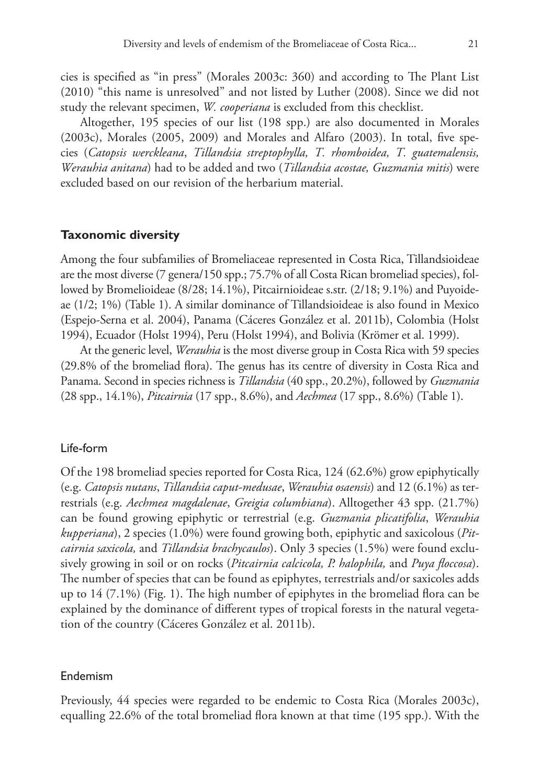cies is specified as "in press" (Morales 2003c: 360) and according to The Plant List (2010) "this name is unresolved" and not listed by Luther (2008). Since we did not study the relevant specimen, *W. cooperiana* is excluded from this checklist.

Altogether, 195 species of our list (198 spp.) are also documented in Morales (2003c), Morales (2005, 2009) and Morales and Alfaro (2003). In total, five species (*Catopsis werckleana*, *Tillandsia streptophylla, T. rhomboidea, T. guatemalensis, Werauhia anitana*) had to be added and two (*Tillandsia acostae, Guzmania mitis*) were excluded based on our revision of the herbarium material.

#### **Taxonomic diversity**

Among the four subfamilies of Bromeliaceae represented in Costa Rica, Tillandsioideae are the most diverse (7 genera/150 spp.; 75.7% of all Costa Rican bromeliad species), followed by Bromelioideae (8/28; 14.1%), Pitcairnioideae s.str. (2/18; 9.1%) and Puyoideae (1/2; 1%) (Table 1). A similar dominance of Tillandsioideae is also found in Mexico (Espejo-Serna et al. 2004), Panama (Cáceres González et al. 2011b), Colombia (Holst 1994), Ecuador (Holst 1994), Peru (Holst 1994), and Bolivia (Krömer et al. 1999).

At the generic level, *Werauhia* is the most diverse group in Costa Rica with 59 species (29.8% of the bromeliad flora). The genus has its centre of diversity in Costa Rica and Panama. Second in species richness is *Tillandsia* (40 spp., 20.2%), followed by *Guzmania* (28 spp., 14.1%), *Pitcairnia* (17 spp., 8.6%), and *Aechmea* (17 spp., 8.6%) (Table 1).

#### Life-form

Of the 198 bromeliad species reported for Costa Rica, 124 (62.6%) grow epiphytically (e.g. *Catopsis nutans*, *Tillandsia caput-medusae*, *Werauhia osaensis*) and 12 (6.1%) as terrestrials (e.g. *Aechmea magdalenae*, *Greigia columbiana*). Alltogether 43 spp. (21.7%) can be found growing epiphytic or terrestrial (e.g. *Guzmania plicatifolia*, *Werauhia kupperiana*), 2 species (1.0%) were found growing both, epiphytic and saxicolous (*Pitcairnia saxicola,* and *Tillandsia brachycaulos*). Only 3 species (1.5%) were found exclusively growing in soil or on rocks (*Pitcairnia calcicola, P. halophila,* and *Puya floccosa*). The number of species that can be found as epiphytes, terrestrials and/or saxicoles adds up to 14 (7.1%) (Fig. 1). The high number of epiphytes in the bromeliad flora can be explained by the dominance of different types of tropical forests in the natural vegetation of the country (Cáceres González et al. 2011b).

#### Endemism

Previously, 44 species were regarded to be endemic to Costa Rica (Morales 2003c), equalling 22.6% of the total bromeliad flora known at that time (195 spp.). With the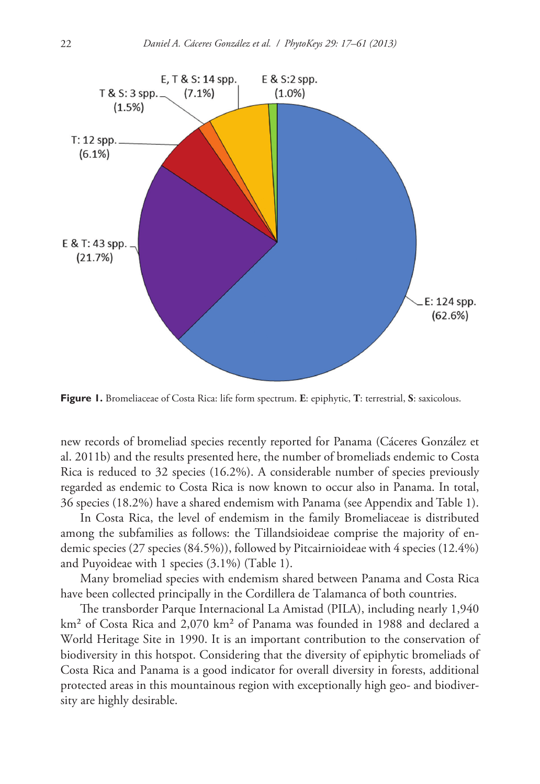

**Figure 1.** Bromeliaceae of Costa Rica: life form spectrum. **E**: epiphytic, **T**: terrestrial, **S**: saxicolous.

new records of bromeliad species recently reported for Panama (Cáceres González et al. 2011b) and the results presented here, the number of bromeliads endemic to Costa Rica is reduced to 32 species (16.2%). A considerable number of species previously regarded as endemic to Costa Rica is now known to occur also in Panama. In total, 36 species (18.2%) have a shared endemism with Panama (see Appendix and Table 1).

In Costa Rica, the level of endemism in the family Bromeliaceae is distributed among the subfamilies as follows: the Tillandsioideae comprise the majority of endemic species (27 species (84.5%)), followed by Pitcairnioideae with 4 species (12.4%) and Puyoideae with 1 species (3.1%) (Table 1).

Many bromeliad species with endemism shared between Panama and Costa Rica have been collected principally in the Cordillera de Talamanca of both countries.

The transborder Parque Internacional La Amistad (PILA), including nearly 1,940 km² of Costa Rica and 2,070 km² of Panama was founded in 1988 and declared a World Heritage Site in 1990. It is an important contribution to the conservation of biodiversity in this hotspot. Considering that the diversity of epiphytic bromeliads of Costa Rica and Panama is a good indicator for overall diversity in forests, additional protected areas in this mountainous region with exceptionally high geo- and biodiversity are highly desirable.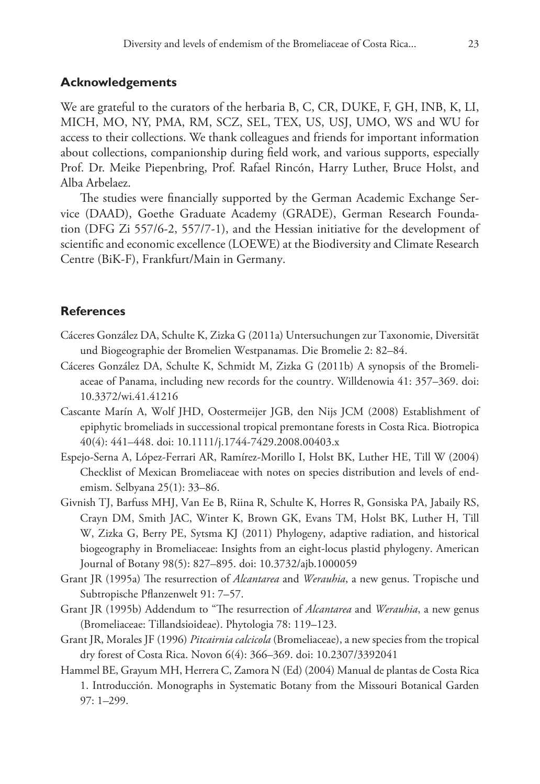#### **Acknowledgements**

We are grateful to the curators of the herbaria B, C, CR, DUKE, F, GH, INB, K, LI, MICH, MO, NY, PMA, RM, SCZ, SEL, TEX, US, USJ, UMO, WS and WU for access to their collections. We thank colleagues and friends for important information about collections, companionship during field work, and various supports, especially Prof. Dr. Meike Piepenbring, Prof. Rafael Rincón, Harry Luther, Bruce Holst, and Alba Arbelaez.

The studies were financially supported by the German Academic Exchange Service (DAAD), Goethe Graduate Academy (GRADE), German Research Foundation (DFG Zi 557/6-2, 557/7-1), and the Hessian initiative for the development of scientific and economic excellence (LOEWE) at the Biodiversity and Climate Research Centre (BiK-F), Frankfurt/Main in Germany.

### **References**

- Cáceres González DA, Schulte K, Zizka G (2011a) Untersuchungen zur Taxonomie, Diversität und Biogeographie der Bromelien Westpanamas. Die Bromelie 2: 82–84.
- Cáceres González DA, Schulte K, Schmidt M, Zizka G (2011b) A synopsis of the Bromeliaceae of Panama, including new records for the country. Willdenowia 41: 357–369. [doi:](http://dx.doi.org/10.3372/wi.41.41216) [10.3372/wi.41.41216](http://dx.doi.org/10.3372/wi.41.41216)
- Cascante Marín A, Wolf JHD, Oostermeijer JGB, den Nijs JCM (2008) Establishment of epiphytic bromeliads in successional tropical premontane forests in Costa Rica. Biotropica 40(4): 441–448. [doi: 10.1111/j.1744-7429.2008.00403.x](http://dx.doi.org/10.1111/j.1744-7429.2008.00403.x)
- Espejo-Serna A, López-Ferrari AR, Ramírez-Morillo I, Holst BK, Luther HE, Till W (2004) Checklist of Mexican Bromeliaceae with notes on species distribution and levels of endemism. Selbyana 25(1): 33–86.
- Givnish TJ, Barfuss MHJ, Van Ee B, Riina R, Schulte K, Horres R, Gonsiska PA, Jabaily RS, Crayn DM, Smith JAC, Winter K, Brown GK, Evans TM, Holst BK, Luther H, Till W, Zizka G, Berry PE, Sytsma KJ (2011) Phylogeny, adaptive radiation, and historical biogeography in Bromeliaceae: Insights from an eight-locus plastid phylogeny. American Journal of Botany 98(5): 827–895. [doi: 10.3732/ajb.1000059](http://dx.doi.org/10.3732/ajb.1000059)
- Grant JR (1995a) The resurrection of *Alcantarea* and *Werauhia*, a new genus. Tropische und Subtropische Pflanzenwelt 91: 7–57.
- Grant JR (1995b) Addendum to "The resurrection of *Alcantarea* and *Werauhia*, a new genus (Bromeliaceae: Tillandsioideae). Phytologia 78: 119–123.
- Grant JR, Morales JF (1996) *Pitcairnia calcicola* (Bromeliaceae), a new species from the tropical dry forest of Costa Rica. Novon 6(4): 366–369. [doi: 10.2307/3392041](http://dx.doi.org/10.2307/3392041)
- Hammel BE, Grayum MH, Herrera C, Zamora N (Ed) (2004) Manual de plantas de Costa Rica 1. Introducción. Monographs in Systematic Botany from the Missouri Botanical Garden 97: 1*–*299.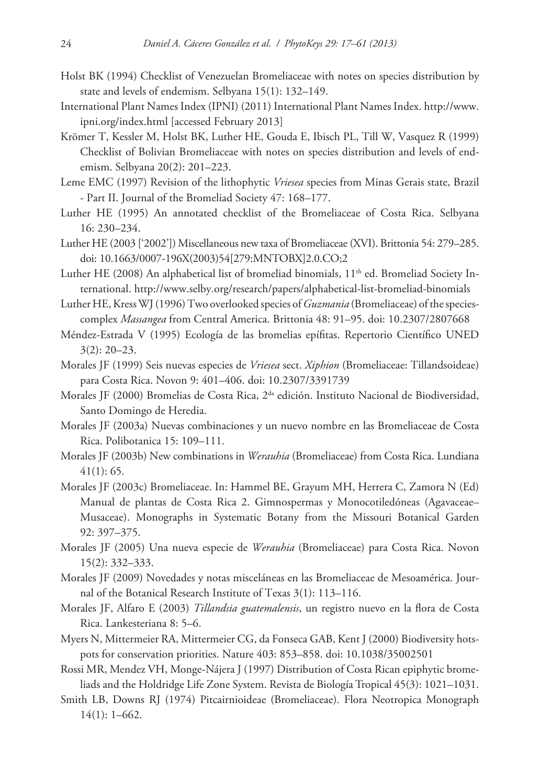- Holst BK (1994) Checklist of Venezuelan Bromeliaceae with notes on species distribution by state and levels of endemism. Selbyana 15(1): 132–149.
- International Plant Names Index (IPNI) (2011) International Plant Names Index. [http://www.](http://www.ipni.org/index.html) [ipni.org/index.html](http://www.ipni.org/index.html) [accessed February 2013]
- Krömer T, Kessler M, Holst BK, Luther HE, Gouda E, Ibisch PL, Till W, Vasquez R (1999) Checklist of Bolivian Bromeliaceae with notes on species distribution and levels of endemism. Selbyana 20(2): 201–223.
- Leme EMC (1997) Revision of the lithophytic *Vriesea* species from Minas Gerais state, Brazil - Part II. Journal of the Bromeliad Society 47: 168–177.
- Luther HE (1995) An annotated checklist of the Bromeliaceae of Costa Rica. Selbyana 16: 230–234.
- Luther HE (2003 ['2002']) Miscellaneous new taxa of Bromeliaceae (XVI). Brittonia 54: 279–285. [doi: 10.1663/0007-196X\(2003\)54\[279:MNTOBX\]2.0.CO;2](http://dx.doi.org/10.1663/0007-196X(2003)54[279:MNTOBX]2.0.CO;2)
- Luther HE (2008) An alphabetical list of bromeliad binomials,  $11<sup>th</sup>$  ed. Bromeliad Society International.<http://www.selby.org/research/papers/alphabetical-list-bromeliad-binomials>
- Luther HE, Kress WJ (1996) Two overlooked species of *Guzmania* (Bromeliaceae) of the speciescomplex *Massangea* from Central America. Brittonia 48: 91–95. [doi: 10.2307/2807668](http://dx.doi.org/10.2307/2807668)
- Méndez-Estrada V (1995) Ecología de las bromelias epífitas. Repertorio Científico UNED 3(2): 20–23.
- Morales JF (1999) Seis nuevas especies de *Vriesea* sect. *Xiphion* (Bromeliaceae: Tillandsoideae) para Costa Rica. Novon 9: 401–406. [doi: 10.2307/3391739](http://dx.doi.org/10.2307/3391739)
- Morales JF (2000) Bromelias de Costa Rica, 2<sup>da</sup> edición. Instituto Nacional de Biodiversidad, Santo Domingo de Heredia.
- Morales JF (2003a) Nuevas combinaciones y un nuevo nombre en las Bromeliaceae de Costa Rica. Polibotanica 15: 109–111.
- Morales JF (2003b) New combinations in *Werauhia* (Bromeliaceae) from Costa Rica. Lundiana 41(1): 65.
- Morales JF (2003c) Bromeliaceae. In: Hammel BE, Grayum MH, Herrera C, Zamora N (Ed) Manual de plantas de Costa Rica 2. Gimnospermas y Monocotiledóneas (Agavaceae– Musaceae). Monographs in Systematic Botany from the Missouri Botanical Garden 92: 397–375.
- Morales JF (2005) Una nueva especie de *Werauhia* (Bromeliaceae) para Costa Rica. Novon 15(2): 332–333.
- Morales JF (2009) Novedades y notas misceláneas en las Bromeliaceae de Mesoamérica. Journal of the Botanical Research Institute of Texas 3(1): 113–116.
- Morales JF, Alfaro E (2003) *Tillandsia guatemalensis*, un registro nuevo en la flora de Costa Rica. Lankesteriana 8: 5–6.
- Myers N, Mittermeier RA, Mittermeier CG, da Fonseca GAB, Kent J (2000) Biodiversity hotspots for conservation priorities. Nature 403: 853–858. [doi: 10.1038/35002501](http://dx.doi.org/10.1038/35002501)
- Rossi MR, Mendez VH, Monge-Nájera J (1997) Distribution of Costa Rican epiphytic bromeliads and the Holdridge Life Zone System. Revista de Biología Tropical 45(3): 1021–1031.
- Smith LB, Downs RJ (1974) Pitcairnioideae (Bromeliaceae). Flora Neotropica Monograph 14(1): 1–662.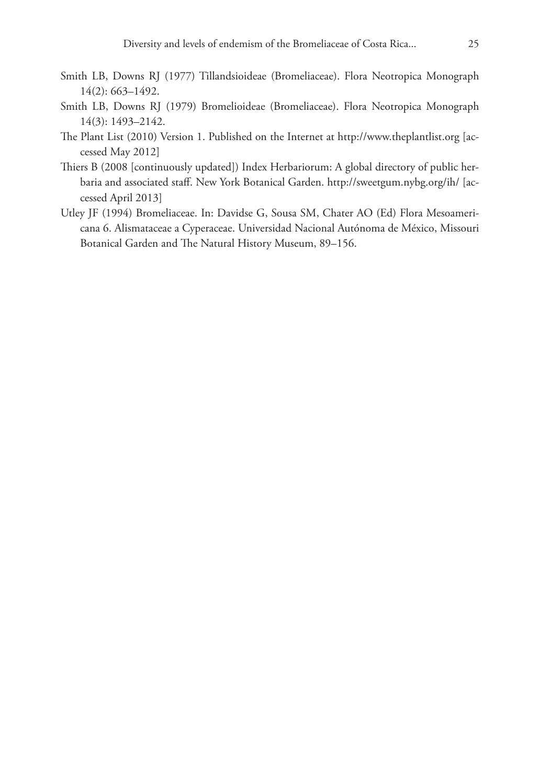- Smith LB, Downs RJ (1977) Tillandsioideae (Bromeliaceae). Flora Neotropica Monograph 14(2): 663–1492.
- Smith LB, Downs RJ (1979) Bromelioideae (Bromeliaceae). Flora Neotropica Monograph 14(3): 1493–2142.
- The Plant List (2010) Version 1. Published on the Internet at <http://www.theplantlist.org> [accessed May 2012]
- Thiers B (2008 [continuously updated]) Index Herbariorum: A global directory of public herbaria and associated staff. New York Botanical Garden. <http://sweetgum.nybg.org/ih/> [accessed April 2013]
- Utley JF (1994) Bromeliaceae. In: Davidse G, Sousa SM, Chater AO (Ed) Flora Mesoamericana 6. Alismataceae a Cyperaceae. Universidad Nacional Autónoma de México, Missouri Botanical Garden and The Natural History Museum, 89–156.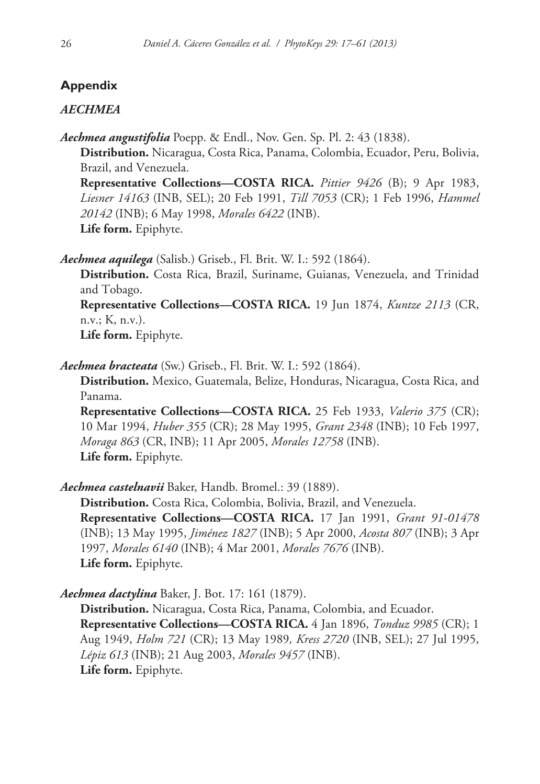# **Appendix**

# *AECHMEA*

*Aechmea angustifolia* Poepp. & Endl., Nov. Gen. Sp. Pl. 2: 43 (1838). **Distribution.** Nicaragua, Costa Rica, Panama, Colombia, Ecuador, Peru, Bolivia, Brazil, and Venezuela. **Representative Collections—COSTA RICA.** *Pittier 9426* (B); 9 Apr 1983, *Liesner 14163* (INB, SEL); 20 Feb 1991, *Till 7053* (CR); 1 Feb 1996, *Hammel* 

*20142* (INB); 6 May 1998, *Morales 6422* (INB). **Life form.** Epiphyte.

*Aechmea aquilega* (Salisb.) Griseb., Fl. Brit. W. I.: 592 (1864).

**Distribution.** Costa Rica, Brazil, Suriname, Guianas, Venezuela, and Trinidad and Tobago.

**Representative Collections—COSTA RICA.** 19 Jun 1874, *Kuntze 2113* (CR, n.v.; K, n.v.).

**Life form.** Epiphyte.

*Aechmea bracteata* (Sw.) Griseb., Fl. Brit. W. I.: 592 (1864).

**Distribution.** Mexico, Guatemala, Belize, Honduras, Nicaragua, Costa Rica, and Panama.

**Representative Collections—COSTA RICA.** 25 Feb 1933, *Valerio 375* (CR); 10 Mar 1994, *Huber 355* (CR); 28 May 1995, *Grant 2348* (INB); 10 Feb 1997, *Moraga 863* (CR, INB); 11 Apr 2005, *Morales 12758* (INB). **Life form.** Epiphyte.

*Aechmea castelnavii* Baker, Handb. Bromel.: 39 (1889).

**Distribution.** Costa Rica, Colombia, Bolivia, Brazil, and Venezuela. **Representative Collections—COSTA RICA.** 17 Jan 1991, *Grant 91-01478* (INB); 13 May 1995, *Jiménez 1827* (INB); 5 Apr 2000, *Acosta 807* (INB); 3 Apr 1997, *Morales 6140* (INB); 4 Mar 2001, *Morales 7676* (INB). **Life form.** Epiphyte.

*Aechmea dactylina* Baker, J. Bot. 17: 161 (1879).

**Distribution.** Nicaragua, Costa Rica, Panama, Colombia, and Ecuador. **Representative Collections—COSTA RICA.** 4 Jan 1896, *Tonduz 9985* (CR); 1 Aug 1949, *Holm 721* (CR); 13 May 1989*, Kress 2720* (INB, SEL); 27 Jul 1995, *Lépiz 613* (INB); 21 Aug 2003, *Morales 9457* (INB). **Life form.** Epiphyte.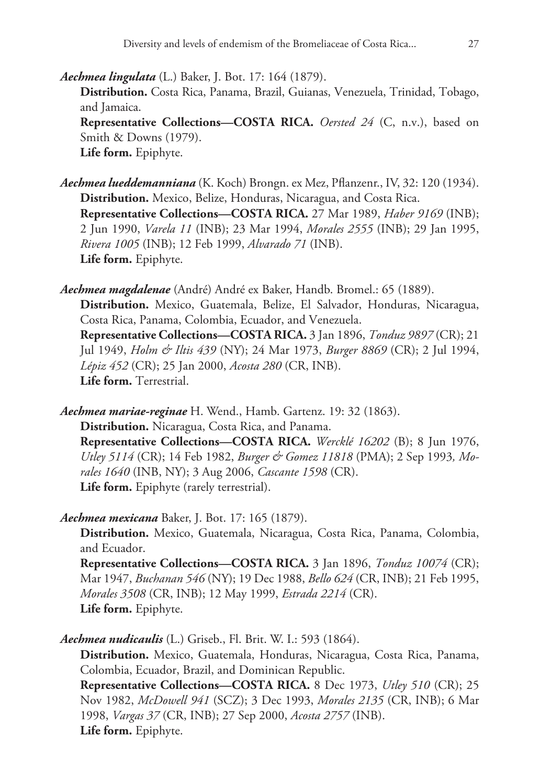*Aechmea lingulata* (L.) Baker, J. Bot. 17: 164 (1879). **Distribution.** Costa Rica, Panama, Brazil, Guianas, Venezuela, Trinidad, Tobago, and Jamaica. **Representative Collections—COSTA RICA.** *Oersted 24* (C, n.v.), based on Smith & Downs (1979). **Life form.** Epiphyte.

*Aechmea lueddemanniana* (K. Koch) Brongn. ex Mez, Pflanzenr., IV, 32: 120 (1934). **Distribution.** Mexico, Belize, Honduras, Nicaragua, and Costa Rica. **Representative Collections—COSTA RICA.** 27 Mar 1989, *Haber 9169* (INB); 2 Jun 1990, *Varela 11* (INB); 23 Mar 1994, *Morales 2555* (INB); 29 Jan 1995, *Rivera 1005* (INB); 12 Feb 1999, *Alvarado 71* (INB). **Life form.** Epiphyte.

*Aechmea magdalenae* (André) André ex Baker, Handb. Bromel.: 65 (1889). **Distribution.** Mexico, Guatemala, Belize, El Salvador, Honduras, Nicaragua, Costa Rica, Panama, Colombia, Ecuador, and Venezuela. **Representative Collections—COSTA RICA.** 3 Jan 1896, *Tonduz 9897* (CR); 21 Jul 1949, *Holm & Iltis 439* (NY); 24 Mar 1973, *Burger 8869* (CR); 2 Jul 1994, *Lépiz 452* (CR); 25 Jan 2000, *Acosta 280* (CR, INB). **Life form.** Terrestrial.

*Aechmea mariae-reginae* H. Wend., Hamb. Gartenz. 19: 32 (1863). **Distribution.** Nicaragua, Costa Rica, and Panama. **Representative Collections—COSTA RICA.** *Wercklé 16202* (B); 8 Jun 1976, *Utley 5114* (CR); 14 Feb 1982, *Burger & Gomez 11818* (PMA); 2 Sep 1993*, Morales 1640* (INB, NY); 3 Aug 2006, *Cascante 1598* (CR). **Life form.** Epiphyte (rarely terrestrial).

*Aechmea mexicana* Baker, J. Bot. 17: 165 (1879).

**Distribution.** Mexico, Guatemala, Nicaragua, Costa Rica, Panama, Colombia, and Ecuador.

**Representative Collections—COSTA RICA.** 3 Jan 1896, *Tonduz 10074* (CR); Mar 1947, *Buchanan 546* (NY); 19 Dec 1988, *Bello 624* (CR, INB); 21 Feb 1995, *Morales 3508* (CR, INB); 12 May 1999, *Estrada 2214* (CR). **Life form.** Epiphyte.

*Aechmea nudicaulis* (L.) Griseb., Fl. Brit. W. I.: 593 (1864).

**Distribution.** Mexico, Guatemala, Honduras, Nicaragua, Costa Rica, Panama, Colombia, Ecuador, Brazil, and Dominican Republic.

**Representative Collections—COSTA RICA.** 8 Dec 1973, *Utley 510* (CR); 25 Nov 1982, *McDowell 941* (SCZ); 3 Dec 1993, *Morales 2135* (CR, INB); 6 Mar 1998, *Vargas 37* (CR, INB); 27 Sep 2000, *Acosta 2757* (INB). **Life form.** Epiphyte.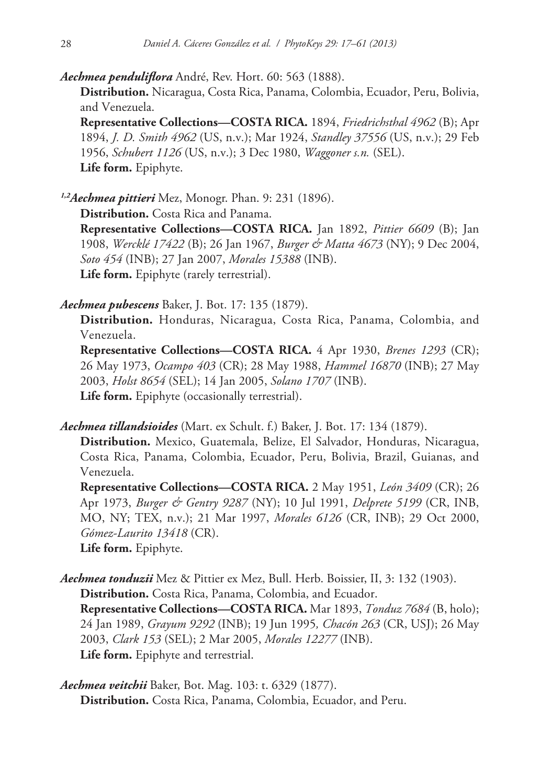*Aechmea penduliflora* André, Rev. Hort. 60: 563 (1888).

**Distribution.** Nicaragua, Costa Rica, Panama, Colombia, Ecuador, Peru, Bolivia, and Venezuela.

**Representative Collections—COSTA RICA.** 1894, *Friedrichsthal 4962* (B); Apr 1894, *J. D. Smith 4962* (US, n.v.); Mar 1924, *Standley 37556* (US, n.v.); 29 Feb 1956, *Schubert 1126* (US, n.v.); 3 Dec 1980, *Waggoner s.n.* (SEL). **Life form.** Epiphyte.

*1,2Aechmea pittieri* Mez, Monogr. Phan. 9: 231 (1896).

**Distribution.** Costa Rica and Panama.

**Representative Collections—COSTA RICA.** Jan 1892, *Pittier 6609* (B); Jan 1908, *Wercklé 17422* (B); 26 Jan 1967, *Burger & Matta 4673* (NY); 9 Dec 2004, *Soto 454* (INB); 27 Jan 2007, *Morales 15388* (INB). **Life form.** Epiphyte (rarely terrestrial).

*Aechmea pubescens* Baker, J. Bot. 17: 135 (1879).

**Distribution.** Honduras, Nicaragua, Costa Rica, Panama, Colombia, and Venezuela.

**Representative Collections—COSTA RICA.** 4 Apr 1930, *Brenes 1293* (CR); 26 May 1973, *Ocampo 403* (CR); 28 May 1988, *Hammel 16870* (INB); 27 May 2003, *Holst 8654* (SEL); 14 Jan 2005, *Solano 1707* (INB). **Life form.** Epiphyte (occasionally terrestrial).

*Aechmea tillandsioides* (Mart. ex Schult. f.) Baker, J. Bot. 17: 134 (1879).

**Distribution.** Mexico, Guatemala, Belize, El Salvador, Honduras, Nicaragua, Costa Rica, Panama, Colombia, Ecuador, Peru, Bolivia, Brazil, Guianas, and Venezuela.

**Representative Collections—COSTA RICA.** 2 May 1951, *León 3409* (CR); 26 Apr 1973, *Burger & Gentry 9287* (NY); 10 Jul 1991, *Delprete 5199* (CR, INB, MO, NY; TEX, n.v.); 21 Mar 1997, *Morales 6126* (CR, INB); 29 Oct 2000, *Gómez-Laurito 13418* (CR).

**Life form.** Epiphyte.

*Aechmea tonduzii* Mez & Pittier ex Mez, Bull. Herb. Boissier, II, 3: 132 (1903). **Distribution.** Costa Rica, Panama, Colombia, and Ecuador. **Representative Collections—COSTA RICA.** Mar 1893, *Tonduz 7684* (B, holo); 24 Jan 1989, *Grayum 9292* (INB); 19 Jun 1995*, Chacón 263* (CR, USJ); 26 May 2003, *Clark 153* (SEL); 2 Mar 2005, *Morales 12277* (INB). **Life form.** Epiphyte and terrestrial.

*Aechmea veitchii* Baker, Bot. Mag. 103: t. 6329 (1877). **Distribution.** Costa Rica, Panama, Colombia, Ecuador, and Peru.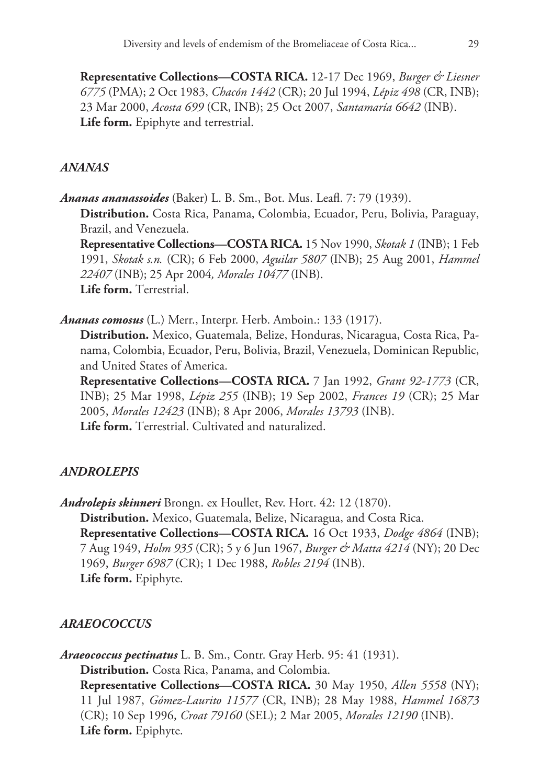**Representative Collections—COSTA RICA.** 12-17 Dec 1969, *Burger & Liesner 6775* (PMA); 2 Oct 1983, *Chacón 1442* (CR); 20 Jul 1994, *Lépiz 498* (CR, INB); 23 Mar 2000, *Acosta 699* (CR, INB); 25 Oct 2007, *Santamaría 6642* (INB). **Life form.** Epiphyte and terrestrial.

### *ANANAS*

*Ananas ananassoides* (Baker) L. B. Sm., Bot. Mus. Leafl. 7: 79 (1939). **Distribution.** Costa Rica, Panama, Colombia, Ecuador, Peru, Bolivia, Paraguay, Brazil, and Venezuela. **Representative Collections—COSTA RICA.** 15 Nov 1990, *Skotak 1* (INB); 1 Feb 1991, *Skotak s.n.* (CR); 6 Feb 2000, *Aguilar 5807* (INB); 25 Aug 2001, *Hammel* 

*22407* (INB); 25 Apr 2004*, Morales 10477* (INB). **Life form.** Terrestrial.

*Ananas comosus* (L.) Merr., Interpr. Herb. Amboin.: 133 (1917).

**Distribution.** Mexico, Guatemala, Belize, Honduras, Nicaragua, Costa Rica, Panama, Colombia, Ecuador, Peru, Bolivia, Brazil, Venezuela, Dominican Republic, and United States of America.

**Representative Collections—COSTA RICA.** 7 Jan 1992, *Grant 92-1773* (CR, INB); 25 Mar 1998, *Lépiz 255* (INB); 19 Sep 2002, *Frances 19* (CR); 25 Mar 2005, *Morales 12423* (INB); 8 Apr 2006, *Morales 13793* (INB). **Life form.** Terrestrial. Cultivated and naturalized.

# *ANDROLEPIS*

*Androlepis skinneri* Brongn. ex Houllet, Rev. Hort. 42: 12 (1870). **Distribution.** Mexico, Guatemala, Belize, Nicaragua, and Costa Rica. **Representative Collections—COSTA RICA.** 16 Oct 1933, *Dodge 4864* (INB); 7 Aug 1949, *Holm 935* (CR); 5 y 6 Jun 1967, *Burger & Matta 4214* (NY); 20 Dec 1969, *Burger 6987* (CR); 1 Dec 1988, *Robles 2194* (INB). **Life form.** Epiphyte.

# *ARAEOCOCCUS*

*Araeococcus pectinatus* L. B. Sm., Contr. Gray Herb. 95: 41 (1931). **Distribution.** Costa Rica, Panama, and Colombia. **Representative Collections—COSTA RICA.** 30 May 1950, *Allen 5558* (NY); 11 Jul 1987, *Gómez-Laurito 11577* (CR, INB); 28 May 1988, *Hammel 16873*  (CR); 10 Sep 1996, *Croat 79160* (SEL); 2 Mar 2005, *Morales 12190* (INB). **Life form.** Epiphyte.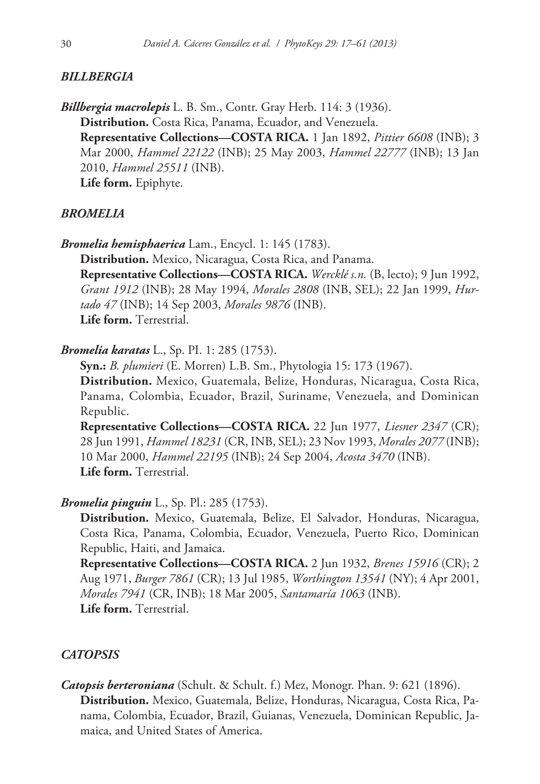### *BILLBERGIA*

*Billbergia macrolepis* L. B. Sm., Contr. Gray Herb. 114: 3 (1936). **Distribution.** Costa Rica, Panama, Ecuador, and Venezuela. **Representative Collections—COSTA RICA.** 1 Jan 1892, *Pittier 6608* (INB); 3 Mar 2000, *Hammel 22122* (INB); 25 May 2003, *Hammel 22777* (INB); 13 Jan 2010, *Hammel 25511* (INB). **Life form.** Epiphyte.

### *BROMELIA*

*Bromelia hemisphaerica* Lam., Encycl. 1: 145 (1783).

**Distribution.** Mexico, Nicaragua, Costa Rica, and Panama. **Representative Collections—COSTA RICA.** *Wercklé s.n.* (B, lecto); 9 Jun 1992, *Grant 1912* (INB); 28 May 1994, *Morales 2808* (INB, SEL); 22 Jan 1999, *Hurtado 47* (INB); 14 Sep 2003, *Morales 9876* (INB). **Life form.** Terrestrial.

*Bromelia karatas* L., Sp. PI. 1: 285 (1753).

**Syn.:** *B. plumieri* (E. Morren) L.B. Sm., [Phytologia](http://www.ipni.org/ipni/idPublicationSearch.do?back_page=&id=1034-2) 15: 173 (1967).

**Distribution.** Mexico, Guatemala, Belize, Honduras, Nicaragua, Costa Rica, Panama, Colombia, Ecuador, Brazil, Suriname, Venezuela, and Dominican Republic.

**Representative Collections—COSTA RICA.** 22 Jun 1977, *Liesner 2347* (CR); 28 Jun 1991, *Hammel 18231* (CR, INB, SEL); 23 Nov 1993, *Morales 2077* (INB); 10 Mar 2000, *Hammel 22195* (INB); 24 Sep 2004, *Acosta 3470* (INB). **Life form.** Terrestrial.

### *Bromelia pinguin* L., Sp. Pl.: 285 (1753).

**Distribution.** Mexico, Guatemala, Belize, El Salvador, Honduras, Nicaragua, Costa Rica, Panama, Colombia, Ecuador, Venezuela, Puerto Rico, Dominican Republic, Haiti, and Jamaica.

**Representative Collections—COSTA RICA.** 2 Jun 1932, *Brenes 15916* (CR); 2 Aug 1971, *Burger 7861* (CR); 13 Jul 1985, *Worthington 13541* (NY); 4 Apr 2001, *Morales 7941* (CR, INB); 18 Mar 2005, *Santamaría 1063* (INB). **Life form.** Terrestrial.

### *CATOPSIS*

*Catopsis berteroniana* (Schult. & Schult. f.) Mez, Monogr. Phan. 9: 621 (1896). **Distribution.** Mexico, Guatemala, Belize, Honduras, Nicaragua, Costa Rica, Panama, Colombia, Ecuador, Brazil, Guianas, Venezuela, Dominican Republic, Jamaica, and United States of America.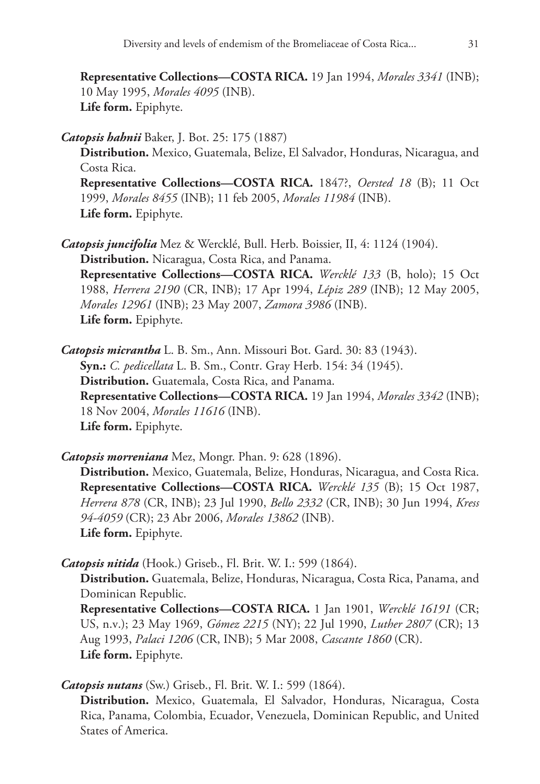**Representative Collections—COSTA RICA.** 19 Jan 1994, *Morales 3341* (INB); 10 May 1995, *Morales 4095* (INB). **Life form.** Epiphyte.

*Catopsis hahnii* Baker, J. Bot. 25: 175 (1887)

**Distribution.** Mexico, Guatemala, Belize, El Salvador, Honduras, Nicaragua, and Costa Rica.

**Representative Collections—COSTA RICA.** 1847?, *Oersted 18* (B); 11 Oct 1999, *Morales 8455* (INB); 11 feb 2005, *Morales 11984* (INB). **Life form.** Epiphyte.

*Catopsis juncifolia* Mez & Wercklé, Bull. Herb. Boissier, II, 4: 1124 (1904). **Distribution.** Nicaragua, Costa Rica, and Panama. **Representative Collections—COSTA RICA.** *Wercklé 133* (B, holo); 15 Oct 1988, *Herrera 2190* (CR, INB); 17 Apr 1994, *Lépiz 289* (INB); 12 May 2005, *Morales 12961* (INB); 23 May 2007, *Zamora 3986* (INB). **Life form.** Epiphyte.

*Catopsis micrantha* L. B. Sm., Ann. Missouri Bot. Gard. 30: 83 (1943). **Syn.:** *C. pedicellata* L. B. Sm., Contr. Gray Herb. 154: 34 (1945). **Distribution.** Guatemala, Costa Rica, and Panama. **Representative Collections—COSTA RICA.** 19 Jan 1994, *Morales 3342* (INB); 18 Nov 2004, *Morales 11616* (INB). **Life form.** Epiphyte.

*Catopsis morreniana* Mez, Mongr. Phan. 9: 628 (1896). **Distribution.** Mexico, Guatemala, Belize, Honduras, Nicaragua, and Costa Rica. **Representative Collections—COSTA RICA.** *Wercklé 135* (B); 15 Oct 1987, *Herrera 878* (CR, INB); 23 Jul 1990, *Bello 2332* (CR, INB); 30 Jun 1994, *Kress 94-4059* (CR); 23 Abr 2006, *Morales 13862* (INB). **Life form.** Epiphyte.

*Catopsis nitida* (Hook.) Griseb., Fl. Brit. W. I.: 599 (1864).

**Distribution.** Guatemala, Belize, Honduras, Nicaragua, Costa Rica, Panama, and Dominican Republic.

**Representative Collections—COSTA RICA.** 1 Jan 1901, *Wercklé 16191* (CR; US, n.v.); 23 May 1969, *Gómez 2215* (NY); 22 Jul 1990, *Luther 2807* (CR); 13 Aug 1993, *Palaci 1206* (CR, INB); 5 Mar 2008, *Cascante 1860* (CR). **Life form.** Epiphyte.

*Catopsis nutans* (Sw.) Griseb., Fl. Brit. W. I.: 599 (1864).

**Distribution.** Mexico, Guatemala, El Salvador, Honduras, Nicaragua, Costa Rica, Panama, Colombia, Ecuador, Venezuela, Dominican Republic, and United States of America.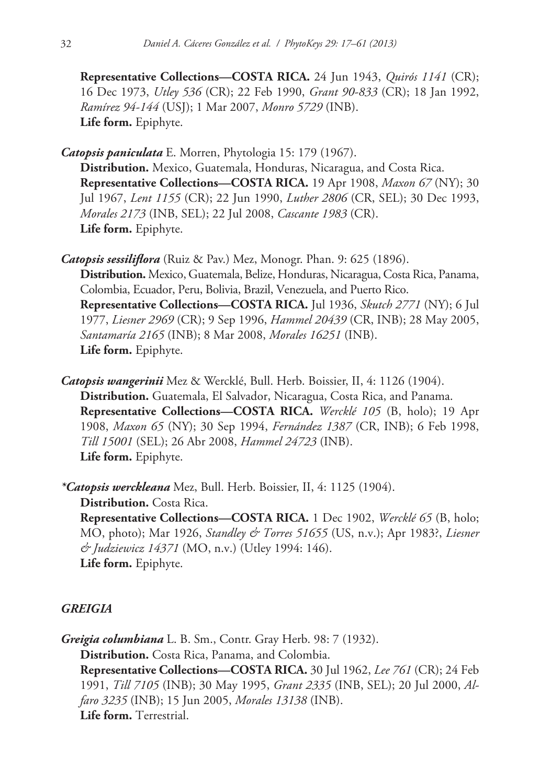**Representative Collections—COSTA RICA.** 24 Jun 1943, *Quirós 1141* (CR); 16 Dec 1973, *Utley 536* (CR); 22 Feb 1990, *Grant 90-833* (CR); 18 Jan 1992, *Ramírez 94-144* (USJ); 1 Mar 2007, *Monro 5729* (INB). **Life form.** Epiphyte.

*Catopsis paniculata* E. Morren, Phytologia 15: 179 (1967). **Distribution.** Mexico, Guatemala, Honduras, Nicaragua, and Costa Rica. **Representative Collections—COSTA RICA.** 19 Apr 1908, *Maxon 67* (NY); 30 Jul 1967, *Lent 1155* (CR); 22 Jun 1990, *Luther 2806* (CR, SEL); 30 Dec 1993, *Morales 2173* (INB, SEL); 22 Jul 2008, *Cascante 1983* (CR). **Life form.** Epiphyte.

- *Catopsis sessiliflora* (Ruiz & Pav.) Mez, Monogr. Phan. 9: 625 (1896). **Distribution.** Mexico, Guatemala, Belize, Honduras, Nicaragua, Costa Rica, Panama, Colombia, Ecuador, Peru, Bolivia, Brazil, Venezuela, and Puerto Rico. **Representative Collections—COSTA RICA.** Jul 1936, *Skutch 2771* (NY); 6 Jul 1977, *Liesner 2969* (CR); 9 Sep 1996, *Hammel 20439* (CR, INB); 28 May 2005, *Santamaría 2165* (INB); 8 Mar 2008, *Morales 16251* (INB). **Life form.** Epiphyte.
- *Catopsis wangerinii* Mez & Wercklé, Bull. Herb. Boissier, II, 4: 1126 (1904). **Distribution.** Guatemala, El Salvador, Nicaragua, Costa Rica, and Panama. **Representative Collections—COSTA RICA.** *Wercklé 105* (B, holo); 19 Apr 1908, *Maxon 65* (NY); 30 Sep 1994, *Fernández 1387* (CR, INB); 6 Feb 1998, *Till 15001* (SEL); 26 Abr 2008, *Hammel 24723* (INB). **Life form.** Epiphyte.

*\*Catopsis werckleana* Mez, Bull. Herb. Boissier, II, 4: 1125 (1904). **Distribution.** Costa Rica. **Representative Collections—COSTA RICA.** 1 Dec 1902, *Wercklé 65* (B, holo; MO, photo); Mar 1926, *Standley & Torres 51655* (US, n.v.); Apr 1983?, *Liesner & Judziewicz 14371* (MO, n.v.) (Utley 1994: 146). **Life form.** Epiphyte.

# *GREIGIA*

*Greigia columbiana* L. B. Sm., Contr. Gray Herb. 98: 7 (1932). **Distribution.** Costa Rica, Panama, and Colombia. **Representative Collections—COSTA RICA.** 30 Jul 1962, *Lee 761* (CR); 24 Feb 1991, *Till 7105* (INB); 30 May 1995, *Grant 2335* (INB, SEL); 20 Jul 2000, *Alfaro 3235* (INB); 15 Jun 2005, *Morales 13138* (INB). **Life form.** Terrestrial.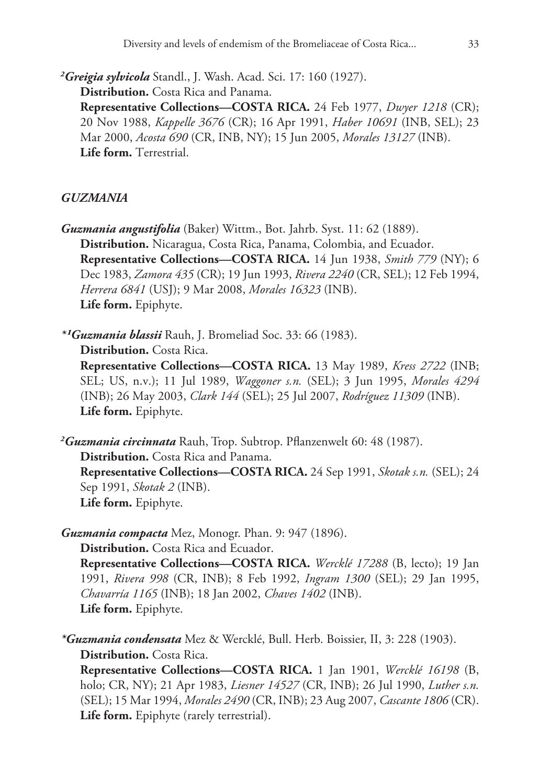*2 Greigia sylvicola* Standl., J. Wash. Acad. Sci. 17: 160 (1927).

**Distribution.** Costa Rica and Panama.

**Representative Collections—COSTA RICA.** 24 Feb 1977, *Dwyer 1218* (CR); 20 Nov 1988, *Kappelle 3676* (CR); 16 Apr 1991, *Haber 10691* (INB, SEL); 23 Mar 2000, *Acosta 690* (CR, INB, NY); 15 Jun 2005, *Morales 13127* (INB). **Life form.** Terrestrial.

# *GUZMANIA*

*Guzmania angustifolia* (Baker) Wittm., Bot. Jahrb. Syst. 11: 62 (1889). **Distribution.** Nicaragua, Costa Rica, Panama, Colombia, and Ecuador. **Representative Collections—COSTA RICA.** 14 Jun 1938, *Smith 779* (NY); 6 Dec 1983, *Zamora 435* (CR); 19 Jun 1993, *Rivera 2240* (CR, SEL); 12 Feb 1994, *Herrera 6841* (USJ); 9 Mar 2008, *Morales 16323* (INB). **Life form.** Epiphyte.

*\*¹Guzmania blassii* Rauh, J. Bromeliad Soc. 33: 66 (1983).

**Distribution.** Costa Rica.

**Representative Collections—COSTA RICA.** 13 May 1989, *Kress 2722* (INB; SEL; US, n.v.); 11 Jul 1989, *Waggoner s.n.* (SEL); 3 Jun 1995, *Morales 4294* (INB); 26 May 2003, *Clark 144* (SEL); 25 Jul 2007, *Rodríguez 11309* (INB). **Life form.** Epiphyte.

*2 Guzmania circinnata* Rauh, Trop. Subtrop. Pflanzenwelt 60: 48 (1987). **Distribution.** Costa Rica and Panama. **Representative Collections—COSTA RICA.** 24 Sep 1991, *Skotak s.n.* (SEL); 24 Sep 1991, *Skotak 2* (INB). **Life form.** Epiphyte.

*Guzmania compacta* Mez, Monogr. Phan. 9: 947 (1896). **Distribution.** Costa Rica and Ecuador. **Representative Collections—COSTA RICA.** *Wercklé 17288* (B, lecto); 19 Jan 1991, *Rivera 998* (CR, INB); 8 Feb 1992, *Ingram 1300* (SEL); 29 Jan 1995, *Chavarría 1165* (INB); 18 Jan 2002, *Chaves 1402* (INB). **Life form.** Epiphyte.

*\*Guzmania condensata* Mez & Wercklé, Bull. Herb. Boissier, II, 3: 228 (1903). **Distribution.** Costa Rica.

**Representative Collections—COSTA RICA.** 1 Jan 1901, *Wercklé 16198* (B, holo; CR, NY); 21 Apr 1983, *Liesner 14527* (CR, INB); 26 Jul 1990, *Luther s.n.* (SEL); 15 Mar 1994, *Morales 2490* (CR, INB); 23 Aug 2007, *Cascante 1806* (CR). **Life form.** Epiphyte (rarely terrestrial).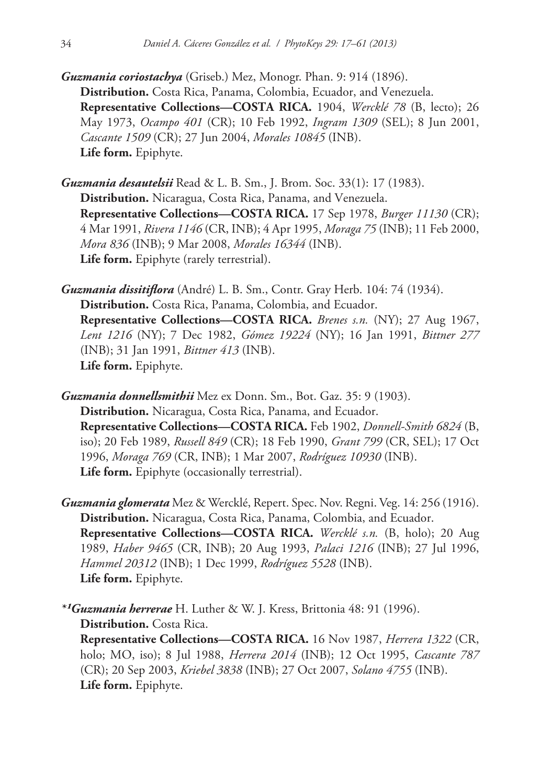- *Guzmania coriostachya* (Griseb.) Mez, Monogr. Phan. 9: 914 (1896). **Distribution.** Costa Rica, Panama, Colombia, Ecuador, and Venezuela. **Representative Collections—COSTA RICA.** 1904, *Wercklé 78* (B, lecto); 26 May 1973, *Ocampo 401* (CR); 10 Feb 1992, *Ingram 1309* (SEL); 8 Jun 2001, *Cascante 1509* (CR); 27 Jun 2004, *Morales 10845* (INB). **Life form.** Epiphyte.
- *Guzmania desautelsii* Read & L. B. Sm., J. Brom. Soc. 33(1): 17 (1983). **Distribution.** Nicaragua, Costa Rica, Panama, and Venezuela. **Representative Collections—COSTA RICA.** 17 Sep 1978, *Burger 11130* (CR); 4 Mar 1991, *Rivera 1146* (CR, INB); 4 Apr 1995, *Moraga 75* (INB); 11 Feb 2000, *Mora 836* (INB); 9 Mar 2008, *Morales 16344* (INB). **Life form.** Epiphyte (rarely terrestrial).
- *Guzmania dissitiflora* (André) L. B. Sm., Contr. Gray Herb. 104: 74 (1934). **Distribution.** Costa Rica, Panama, Colombia, and Ecuador. **Representative Collections—COSTA RICA.** *Brenes s.n.* (NY); 27 Aug 1967, *Lent 1216* (NY); 7 Dec 1982, *Gómez 19224* (NY); 16 Jan 1991, *Bittner 277* (INB); 31 Jan 1991, *Bittner 413* (INB). **Life form.** Epiphyte.
- *Guzmania donnellsmithii* Mez ex Donn. Sm., Bot. Gaz. 35: 9 (1903). **Distribution.** Nicaragua, Costa Rica, Panama, and Ecuador. **Representative Collections—COSTA RICA.** Feb 1902, *Donnell-Smith 6824* (B, iso); 20 Feb 1989, *Russell 849* (CR); 18 Feb 1990, *Grant 799* (CR, SEL); 17 Oct 1996, *Moraga 769* (CR, INB); 1 Mar 2007, *Rodríguez 10930* (INB). **Life form.** Epiphyte (occasionally terrestrial).
- *Guzmania glomerata* Mez & Wercklé, Repert. Spec. Nov. Regni. Veg. 14: 256 (1916). **Distribution.** Nicaragua, Costa Rica, Panama, Colombia, and Ecuador. **Representative Collections—COSTA RICA.** *Wercklé s.n.* (B, holo); 20 Aug 1989, *Haber 9465* (CR, INB); 20 Aug 1993, *Palaci 1216* (INB); 27 Jul 1996, *Hammel 20312* (INB); 1 Dec 1999, *Rodríguez 5528* (INB). **Life form.** Epiphyte.
- *\*¹Guzmania herrerae* H. Luther & W. J. Kress, Brittonia 48: 91 (1996). **Distribution.** Costa Rica. **Representative Collections—COSTA RICA.** 16 Nov 1987, *Herrera 1322* (CR, holo; MO, iso); 8 Jul 1988, *Herrera 2014* (INB); 12 Oct 1995, *Cascante 787* (CR); 20 Sep 2003, *Kriebel 3838* (INB); 27 Oct 2007, *Solano 4755* (INB). **Life form.** Epiphyte.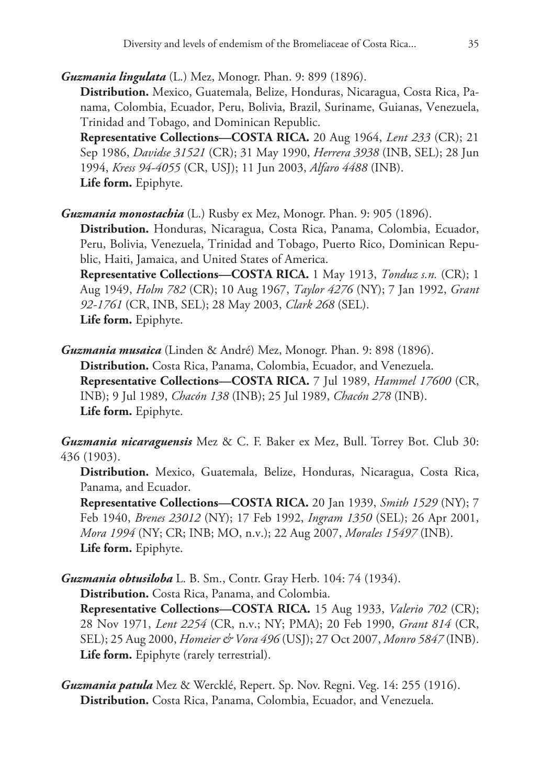*Guzmania lingulata* (L.) Mez, Monogr. Phan. 9: 899 (1896).

**Distribution.** Mexico, Guatemala, Belize, Honduras, Nicaragua, Costa Rica, Panama, Colombia, Ecuador, Peru, Bolivia, Brazil, Suriname, Guianas, Venezuela, Trinidad and Tobago, and Dominican Republic.

**Representative Collections—COSTA RICA.** 20 Aug 1964, *Lent 233* (CR); 21 Sep 1986, *Davidse 31521* (CR); 31 May 1990, *Herrera 3938* (INB, SEL); 28 Jun 1994, *Kress 94-4055* (CR, USJ); 11 Jun 2003, *Alfaro 4488* (INB). **Life form.** Epiphyte.

*Guzmania monostachia* (L.) Rusby ex Mez, Monogr. Phan. 9: 905 (1896).

**Distribution.** Honduras, Nicaragua, Costa Rica, Panama, Colombia, Ecuador, Peru, Bolivia, Venezuela, Trinidad and Tobago, Puerto Rico, Dominican Republic, Haiti, Jamaica, and United States of America.

**Representative Collections—COSTA RICA.** 1 May 1913, *Tonduz s.n.* (CR); 1 Aug 1949, *Holm 782* (CR); 10 Aug 1967, *Taylor 4276* (NY); 7 Jan 1992, *Grant 92-1761* (CR, INB, SEL); 28 May 2003, *Clark 268* (SEL). **Life form.** Epiphyte.

*Guzmania musaica* (Linden & André) Mez, Monogr. Phan. 9: 898 (1896). **Distribution.** Costa Rica, Panama, Colombia, Ecuador, and Venezuela. **Representative Collections—COSTA RICA.** 7 Jul 1989, *Hammel 17600* (CR, INB); 9 Jul 1989, *Chacón 138* (INB); 25 Jul 1989, *Chacón 278* (INB). **Life form.** Epiphyte.

*Guzmania nicaraguensis* Mez & C. F. Baker ex Mez, Bull. Torrey Bot. Club 30: 436 (1903).

**Distribution.** Mexico, Guatemala, Belize, Honduras, Nicaragua, Costa Rica, Panama, and Ecuador.

**Representative Collections—COSTA RICA.** 20 Jan 1939, *Smith 1529* (NY); 7 Feb 1940, *Brenes 23012* (NY); 17 Feb 1992, *Ingram 1350* (SEL); 26 Apr 2001, *Mora 1994* (NY; CR; INB; MO, n.v.); 22 Aug 2007, *Morales 15497* (INB). **Life form.** Epiphyte.

*Guzmania obtusiloba* L. B. Sm., Contr. Gray Herb. 104: 74 (1934). **Distribution.** Costa Rica, Panama, and Colombia.

**Representative Collections—COSTA RICA.** 15 Aug 1933, *Valerio 702* (CR); 28 Nov 1971, *Lent 2254* (CR, n.v.; NY; PMA); 20 Feb 1990, *Grant 814* (CR, SEL); 25 Aug 2000, *Homeier & Vora 496* (USJ); 27 Oct 2007, *Monro 5847* (INB). **Life form.** Epiphyte (rarely terrestrial).

*Guzmania patula* Mez & Wercklé, Repert. Sp. Nov. Regni. Veg. 14: 255 (1916). **Distribution.** Costa Rica, Panama, Colombia, Ecuador, and Venezuela.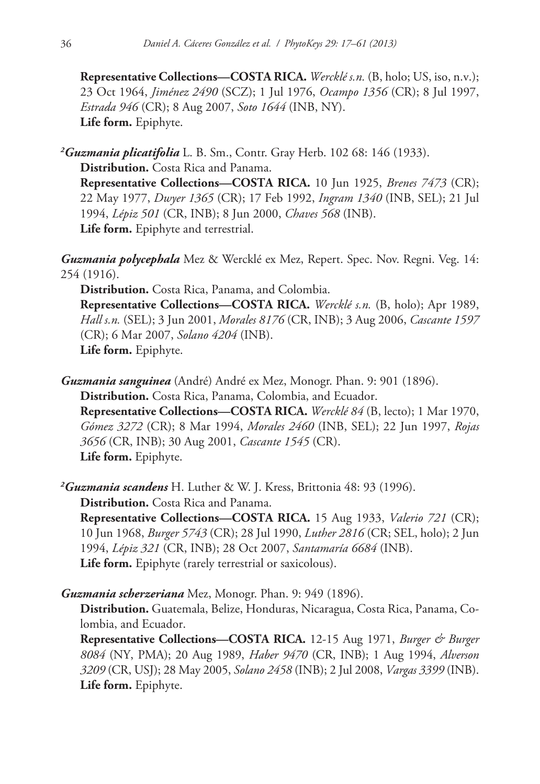**Representative Collections—COSTA RICA.** *Wercklé s.n.* (B, holo; US, iso, n.v.); 23 Oct 1964, *Jiménez 2490* (SCZ); 1 Jul 1976, *Ocampo 1356* (CR); 8 Jul 1997, *Estrada 946* (CR); 8 Aug 2007, *Soto 1644* (INB, NY). **Life form.** Epiphyte.

*2 Guzmania plicatifolia* L. B. Sm., Contr. Gray Herb. 102 68: 146 (1933). **Distribution.** Costa Rica and Panama. **Representative Collections—COSTA RICA.** 10 Jun 1925, *Brenes 7473* (CR); 22 May 1977, *Dwyer 1365* (CR); 17 Feb 1992, *Ingram 1340* (INB, SEL); 21 Jul 1994, *Lépiz 501* (CR, INB); 8 Jun 2000, *Chaves 568* (INB). **Life form.** Epiphyte and terrestrial.

*Guzmania polycephala* Mez & Wercklé ex Mez, Repert. Spec. Nov. Regni. Veg. 14: 254 (1916).

**Distribution.** Costa Rica, Panama, and Colombia.

**Representative Collections—COSTA RICA.** *Wercklé s.n.* (B, holo); Apr 1989, *Hall s.n.* (SEL); 3 Jun 2001, *Morales 8176* (CR, INB); 3 Aug 2006, *Cascante 1597* (CR); 6 Mar 2007, *Solano 4204* (INB). **Life form.** Epiphyte.

*Guzmania sanguinea* (André) André ex Mez, Monogr. Phan. 9: 901 (1896). **Distribution.** Costa Rica, Panama, Colombia, and Ecuador. **Representative Collections—COSTA RICA.** *Wercklé 84* (B, lecto); 1 Mar 1970, *Gómez 3272* (CR); 8 Mar 1994, *Morales 2460* (INB, SEL); 22 Jun 1997, *Rojas 3656* (CR, INB); 30 Aug 2001, *Cascante 1545* (CR).

**Life form.** Epiphyte.

*2 Guzmania scandens* H. Luther & W. J. Kress, Brittonia 48: 93 (1996). **Distribution.** Costa Rica and Panama.

**Representative Collections—COSTA RICA.** 15 Aug 1933, *Valerio 721* (CR); 10 Jun 1968, *Burger 5743* (CR); 28 Jul 1990, *Luther 2816* (CR; SEL, holo); 2 Jun 1994, *Lépiz 321* (CR, INB); 28 Oct 2007, *Santamaría 6684* (INB). **Life form.** Epiphyte (rarely terrestrial or saxicolous).

*Guzmania scherzeriana* Mez, Monogr. Phan. 9: 949 (1896).

**Distribution.** Guatemala, Belize, Honduras, Nicaragua, Costa Rica, Panama, Colombia, and Ecuador.

**Representative Collections—COSTA RICA.** 12-15 Aug 1971, *Burger & Burger 8084* (NY, PMA); 20 Aug 1989, *Haber 9470* (CR, INB); 1 Aug 1994, *Alverson 3209* (CR, USJ); 28 May 2005, *Solano 2458* (INB); 2 Jul 2008, *Vargas 3399* (INB). **Life form.** Epiphyte.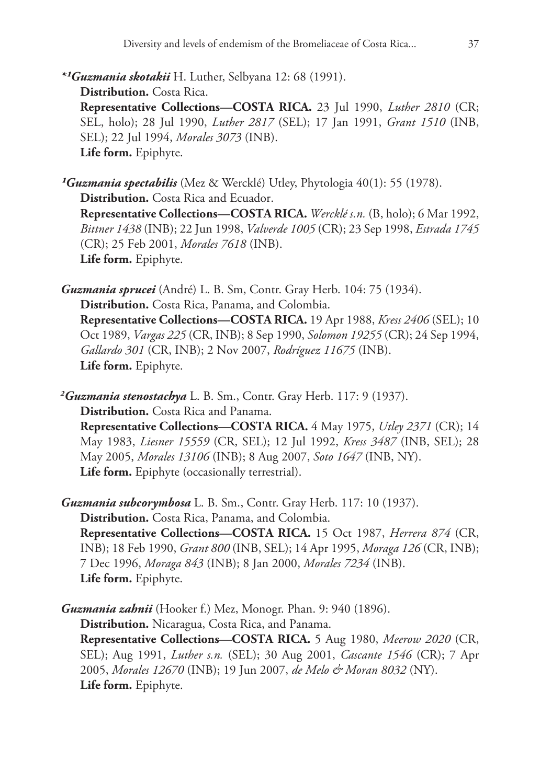*\*¹Guzmania skotakii* H. Luther, Selbyana 12: 68 (1991). **Distribution.** Costa Rica. **Representative Collections—COSTA RICA.** 23 Jul 1990, *Luther 2810* (CR; SEL, holo); 28 Jul 1990, *Luther 2817* (SEL); 17 Jan 1991, *Grant 1510* (INB, SEL); 22 Jul 1994, *Morales 3073* (INB). **Life form.** Epiphyte.

*¹Guzmania spectabilis* (Mez & Wercklé) Utley, Phytologia 40(1): 55 (1978). **Distribution.** Costa Rica and Ecuador. **Representative Collections—COSTA RICA.** *Wercklé s.n.* (B, holo); 6 Mar 1992, *Bittner 1438* (INB); 22 Jun 1998, *Valverde 1005* (CR); 23 Sep 1998, *Estrada 1745* (CR); 25 Feb 2001, *Morales 7618* (INB). **Life form.** Epiphyte.

*Guzmania sprucei* (André) L. B. Sm, Contr. Gray Herb. 104: 75 (1934). **Distribution.** Costa Rica, Panama, and Colombia. **Representative Collections—COSTA RICA.** 19 Apr 1988, *Kress 2406* (SEL); 10

Oct 1989, *Vargas 225* (CR, INB); 8 Sep 1990, *Solomon 19255* (CR); 24 Sep 1994, *Gallardo 301* (CR, INB); 2 Nov 2007, *Rodríguez 11675* (INB). **Life form.** Epiphyte.

*2 Guzmania stenostachya* L. B. Sm., Contr. Gray Herb. 117: 9 (1937). **Distribution.** Costa Rica and Panama. **Representative Collections—COSTA RICA.** 4 May 1975, *Utley 2371* (CR); 14 May 1983, *Liesner 15559* (CR, SEL); 12 Jul 1992, *Kress 3487* (INB, SEL); 28 May 2005, *Morales 13106* (INB); 8 Aug 2007, *Soto 1647* (INB, NY). **Life form.** Epiphyte (occasionally terrestrial).

*Guzmania subcorymbosa* L. B. Sm., Contr. Gray Herb. 117: 10 (1937). **Distribution.** Costa Rica, Panama, and Colombia.

**Representative Collections—COSTA RICA.** 15 Oct 1987, *Herrera 874* (CR, INB); 18 Feb 1990, *Grant 800* (INB, SEL); 14 Apr 1995, *Moraga 126* (CR, INB); 7 Dec 1996, *Moraga 843* (INB); 8 Jan 2000, *Morales 7234* (INB). **Life form.** Epiphyte.

*Guzmania zahnii* (Hooker f.) Mez, Monogr. Phan. 9: 940 (1896).

**Distribution.** Nicaragua, Costa Rica, and Panama.

**Representative Collections—COSTA RICA.** 5 Aug 1980, *Meerow 2020* (CR, SEL); Aug 1991, *Luther s.n.* (SEL); 30 Aug 2001, *Cascante 1546* (CR); 7 Apr 2005, *Morales 12670* (INB); 19 Jun 2007, *de Melo & Moran 8032* (NY). **Life form.** Epiphyte.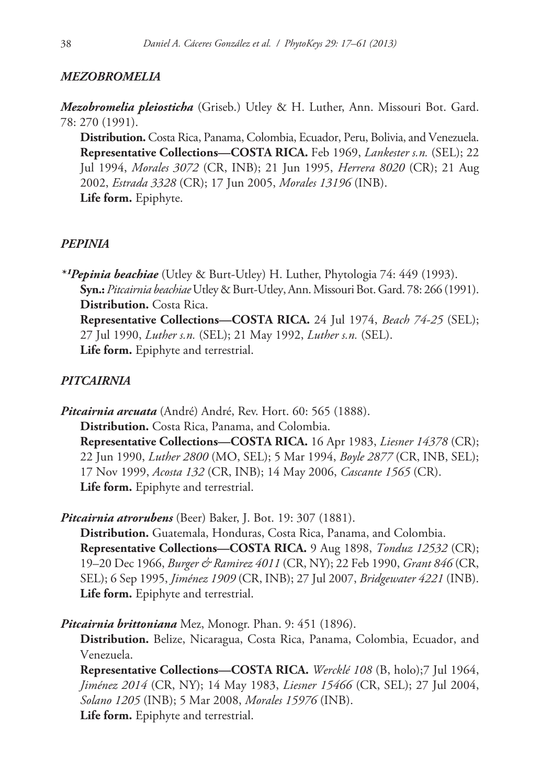# *MEZOBROMELIA*

*Mezobromelia pleiosticha* (Griseb.) Utley & H. Luther, Ann. Missouri Bot. Gard. 78: 270 (1991).

**Distribution.** Costa Rica, Panama, Colombia, Ecuador, Peru, Bolivia, and Venezuela. **Representative Collections—COSTA RICA.** Feb 1969, *Lankester s.n.* (SEL); 22 Jul 1994, *Morales 3072* (CR, INB); 21 Jun 1995, *Herrera 8020* (CR); 21 Aug 2002, *Estrada 3328* (CR); 17 Jun 2005, *Morales 13196* (INB). **Life form.** Epiphyte.

### *PEPINIA*

*\*¹Pepinia beachiae* (Utley & Burt-Utley) H. Luther, Phytologia 74: 449 (1993). **Syn.:** *Pitcairnia beachiae* Utley & Burt-Utley, Ann. Missouri Bot. Gard. 78: 266 (1991). **Distribution.** Costa Rica. **Representative Collections—COSTA RICA.** 24 Jul 1974, *Beach 74-25* (SEL); 27 Jul 1990, *Luther s.n.* (SEL); 21 May 1992, *Luther s.n.* (SEL). **Life form.** Epiphyte and terrestrial.

### *PITCAIRNIA*

*Pitcairnia arcuata* (André) André, Rev. Hort. 60: 565 (1888). **Distribution.** Costa Rica, Panama, and Colombia. **Representative Collections—COSTA RICA.** 16 Apr 1983, *Liesner 14378* (CR); 22 Jun 1990, *Luther 2800* (MO, SEL); 5 Mar 1994, *Boyle 2877* (CR, INB, SEL); 17 Nov 1999, *Acosta 132* (CR, INB); 14 May 2006, *Cascante 1565* (CR). **Life form.** Epiphyte and terrestrial.

*Pitcairnia atrorubens* (Beer) Baker, J. Bot. 19: 307 (1881).

**Distribution.** Guatemala, Honduras, Costa Rica, Panama, and Colombia. **Representative Collections—COSTA RICA.** 9 Aug 1898, *Tonduz 12532* (CR); 19–20 Dec 1966, *Burger & Ramirez 4011* (CR, NY); 22 Feb 1990, *Grant 846* (CR, SEL); 6 Sep 1995, *Jiménez 1909* (CR, INB); 27 Jul 2007, *Bridgewater 4221* (INB). **Life form.** Epiphyte and terrestrial.

*Pitcairnia brittoniana* Mez, Monogr. Phan. 9: 451 (1896).

**Distribution.** Belize, Nicaragua, Costa Rica, Panama, Colombia, Ecuador, and Venezuela.

**Representative Collections—COSTA RICA.** *Wercklé 108* (B, holo);7 Jul 1964, *Jiménez 2014* (CR, NY); 14 May 1983, *Liesner 15466* (CR, SEL); 27 Jul 2004, *Solano 1205* (INB); 5 Mar 2008, *Morales 15976* (INB). **Life form.** Epiphyte and terrestrial.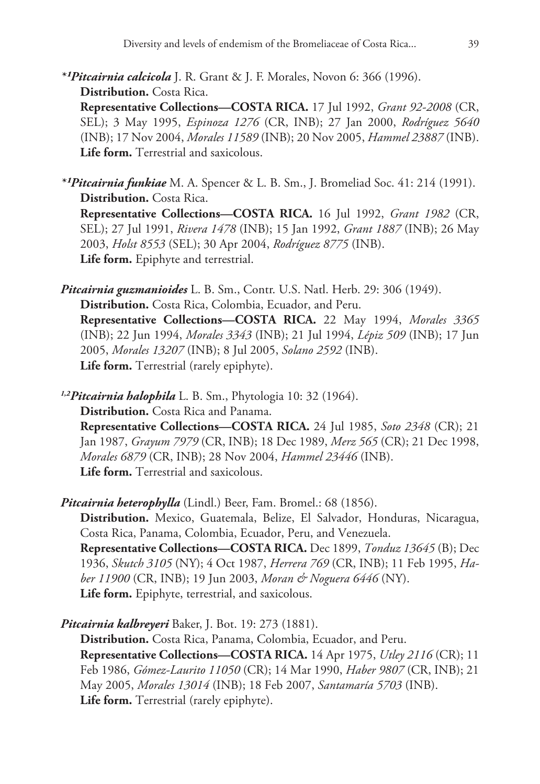*\*¹Pitcairnia calcicola* J. R. Grant & J. F. Morales, Novon 6: 366 (1996). **Distribution.** Costa Rica.

**Representative Collections—COSTA RICA.** 17 Jul 1992, *Grant 92-2008* (CR, SEL); 3 May 1995, *Espinoza 1276* (CR, INB); 27 Jan 2000, *Rodríguez 5640* (INB); 17 Nov 2004, *Morales 11589* (INB); 20 Nov 2005, *Hammel 23887* (INB). **Life form.** Terrestrial and saxicolous.

*\*¹Pitcairnia funkiae* M. A. Spencer & L. B. Sm., J. Bromeliad Soc. 41: 214 (1991). **Distribution.** Costa Rica. **Representative Collections—COSTA RICA.** 16 Jul 1992, *Grant 1982* (CR, SEL); 27 Jul 1991, *Rivera 1478* (INB); 15 Jan 1992, *Grant 1887* (INB); 26 May 2003, *Holst 8553* (SEL); 30 Apr 2004, *Rodríguez 8775* (INB). **Life form.** Epiphyte and terrestrial.

*Pitcairnia guzmanioides* L. B. Sm., Contr. U.S. Natl. Herb. 29: 306 (1949). **Distribution.** Costa Rica, Colombia, Ecuador, and Peru. **Representative Collections—COSTA RICA.** 22 May 1994, *Morales 3365* (INB); 22 Jun 1994, *Morales 3343* (INB); 21 Jul 1994, *Lépiz 509* (INB); 17 Jun 2005, *Morales 13207* (INB); 8 Jul 2005, *Solano 2592* (INB). **Life form.** Terrestrial (rarely epiphyte).

*1,2Pitcairnia halophila* L. B. Sm., Phytologia 10: 32 (1964). **Distribution.** Costa Rica and Panama. **Representative Collections—COSTA RICA.** 24 Jul 1985, *Soto 2348* (CR); 21 Jan 1987, *Grayum 7979* (CR, INB); 18 Dec 1989, *Merz 565* (CR); 21 Dec 1998, *Morales 6879* (CR, INB); 28 Nov 2004, *Hammel 23446* (INB). **Life form.** Terrestrial and saxicolous.

*Pitcairnia heterophylla* (Lindl.) Beer, Fam. Bromel.: 68 (1856).

**Distribution.** Mexico, Guatemala, Belize, El Salvador, Honduras, Nicaragua, Costa Rica, Panama, Colombia, Ecuador, Peru, and Venezuela. **Representative Collections—COSTA RICA.** Dec 1899, *Tonduz 13645* (B); Dec 1936, *Skutch 3105* (NY); 4 Oct 1987, *Herrera 769* (CR, INB); 11 Feb 1995, *Haber 11900* (CR, INB); 19 Jun 2003, *Moran & Noguera 6446* (NY). **Life form.** Epiphyte, terrestrial, and saxicolous.

*Pitcairnia kalbreyeri* Baker, J. Bot. 19: 273 (1881).

**Distribution.** Costa Rica, Panama, Colombia, Ecuador, and Peru. **Representative Collections—COSTA RICA.** 14 Apr 1975, *Utley 2116* (CR); 11 Feb 1986, *Gómez-Laurito 11050* (CR); 14 Mar 1990, *Haber 9807* (CR, INB); 21 May 2005, *Morales 13014* (INB); 18 Feb 2007, *Santamaría 5703* (INB). **Life form.** Terrestrial (rarely epiphyte).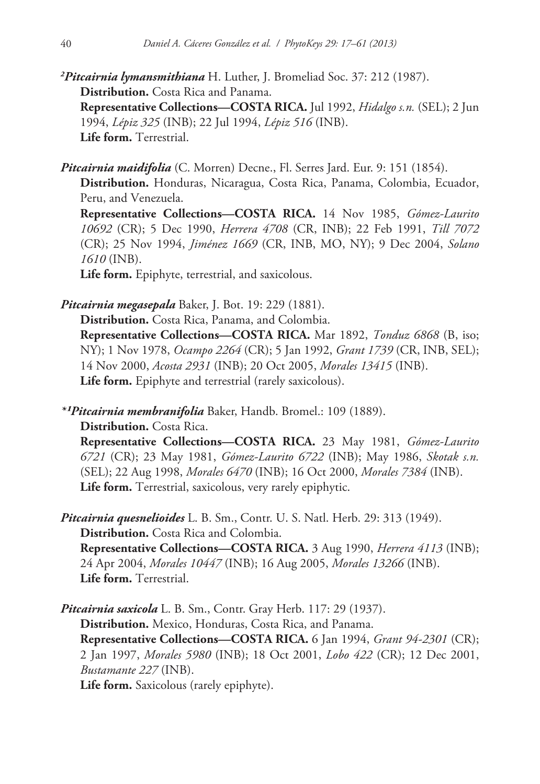*2 Pitcairnia lymansmithiana* H. Luther, J. Bromeliad Soc. 37: 212 (1987). **Distribution.** Costa Rica and Panama. **Representative Collections—COSTA RICA.** Jul 1992, *Hidalgo s.n.* (SEL); 2 Jun 1994, *Lépiz 325* (INB); 22 Jul 1994, *Lépiz 516* (INB). **Life form.** Terrestrial.

*Pitcairnia maidifolia* (C. Morren) Decne., Fl. Serres Jard. Eur. 9: 151 (1854).

**Distribution.** Honduras, Nicaragua, Costa Rica, Panama, Colombia, Ecuador, Peru, and Venezuela.

**Representative Collections—COSTA RICA.** 14 Nov 1985, *Gómez-Laurito 10692* (CR); 5 Dec 1990, *Herrera 4708* (CR, INB); 22 Feb 1991, *Till 7072* (CR); 25 Nov 1994, *Jiménez 1669* (CR, INB, MO, NY); 9 Dec 2004, *Solano 1610* (INB).

**Life form.** Epiphyte, terrestrial, and saxicolous.

*Pitcairnia megasepala* Baker, J. Bot. 19: 229 (1881).

**Distribution.** Costa Rica, Panama, and Colombia.

**Representative Collections—COSTA RICA.** Mar 1892, *Tonduz 6868* (B, iso; NY); 1 Nov 1978, *Ocampo 2264* (CR); 5 Jan 1992, *Grant 1739* (CR, INB, SEL); 14 Nov 2000, *Acosta 2931* (INB); 20 Oct 2005, *Morales 13415* (INB). **Life form.** Epiphyte and terrestrial (rarely saxicolous).

*\*¹Pitcairnia membranifolia* Baker, Handb. Bromel.: 109 (1889).

**Distribution.** Costa Rica.

**Representative Collections—COSTA RICA.** 23 May 1981, *Gómez-Laurito 6721* (CR); 23 May 1981, *Gómez-Laurito 6722* (INB); May 1986, *Skotak s.n.* (SEL); 22 Aug 1998, *Morales 6470* (INB); 16 Oct 2000, *Morales 7384* (INB). **Life form.** Terrestrial, saxicolous, very rarely epiphytic.

*Pitcairnia quesnelioides* L. B. Sm., Contr. U. S. Natl. Herb. 29: 313 (1949). **Distribution.** Costa Rica and Colombia. **Representative Collections—COSTA RICA.** 3 Aug 1990, *Herrera 4113* (INB); 24 Apr 2004, *Morales 10447* (INB); 16 Aug 2005, *Morales 13266* (INB). **Life form.** Terrestrial.

*Pitcairnia saxicola* L. B. Sm., Contr. Gray Herb. 117: 29 (1937). **Distribution.** Mexico, Honduras, Costa Rica, and Panama. **Representative Collections—COSTA RICA.** 6 Jan 1994, *Grant 94-2301* (CR); 2 Jan 1997, *Morales 5980* (INB); 18 Oct 2001, *Lobo 422* (CR); 12 Dec 2001, *Bustamante 227* (INB).

**Life form.** Saxicolous (rarely epiphyte).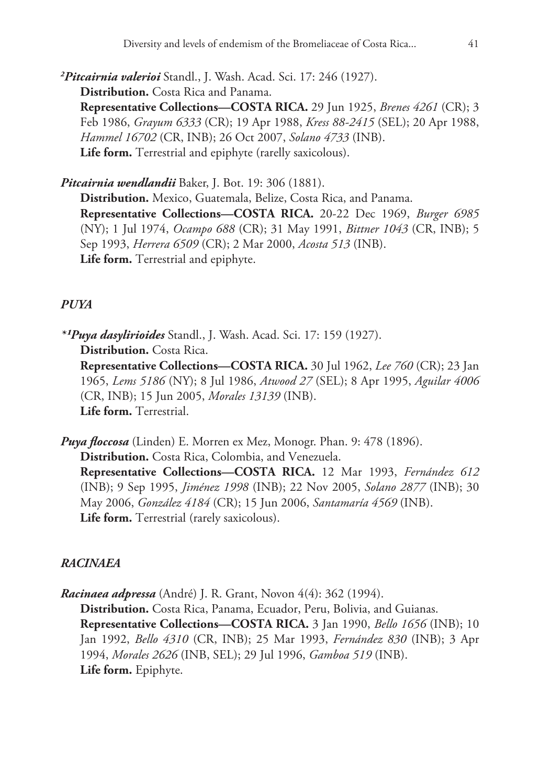*2 Pitcairnia valerioi* Standl., J. Wash. Acad. Sci. 17: 246 (1927). **Distribution.** Costa Rica and Panama. **Representative Collections—COSTA RICA.** 29 Jun 1925, *Brenes 4261* (CR); 3 Feb 1986, *Grayum 6333* (CR); 19 Apr 1988, *Kress 88-2415* (SEL); 20 Apr 1988, *Hammel 16702* (CR, INB); 26 Oct 2007, *Solano 4733* (INB). **Life form.** Terrestrial and epiphyte (rarelly saxicolous).

*Pitcairnia wendlandii* Baker, J. Bot. 19: 306 (1881). **Distribution.** Mexico, Guatemala, Belize, Costa Rica, and Panama. **Representative Collections—COSTA RICA.** 20-22 Dec 1969, *Burger 6985* (NY); 1 Jul 1974, *Ocampo 688* (CR); 31 May 1991, *Bittner 1043* (CR, INB); 5 Sep 1993, *Herrera 6509* (CR); 2 Mar 2000, *Acosta 513* (INB). **Life form.** Terrestrial and epiphyte.

# *PUYA*

*\*¹Puya dasylirioides* Standl., J. Wash. Acad. Sci. 17: 159 (1927). **Distribution.** Costa Rica. **Representative Collections—COSTA RICA.** 30 Jul 1962, *Lee 760* (CR); 23 Jan 1965, *Lems 5186* (NY); 8 Jul 1986, *Atwood 27* (SEL); 8 Apr 1995, *Aguilar 4006* (CR, INB); 15 Jun 2005, *Morales 13139* (INB). **Life form.** Terrestrial.

*Puya floccosa* (Linden) E. Morren ex Mez, Monogr. Phan. 9: 478 (1896). **Distribution.** Costa Rica, Colombia, and Venezuela. **Representative Collections—COSTA RICA.** 12 Mar 1993, *Fernández 612* (INB); 9 Sep 1995, *Jiménez 1998* (INB); 22 Nov 2005, *Solano 2877* (INB); 30 May 2006, *González 4184* (CR); 15 Jun 2006, *Santamaría 4569* (INB). **Life form.** Terrestrial (rarely saxicolous).

# *RACINAEA*

*Racinaea adpressa* (André) J. R. Grant, Novon 4(4): 362 (1994). **Distribution.** Costa Rica, Panama, Ecuador, Peru, Bolivia, and Guianas. **Representative Collections—COSTA RICA.** 3 Jan 1990, *Bello 1656* (INB); 10 Jan 1992, *Bello 4310* (CR, INB); 25 Mar 1993, *Fernández 830* (INB); 3 Apr 1994, *Morales 2626* (INB, SEL); 29 Jul 1996, *Gamboa 519* (INB). **Life form.** Epiphyte.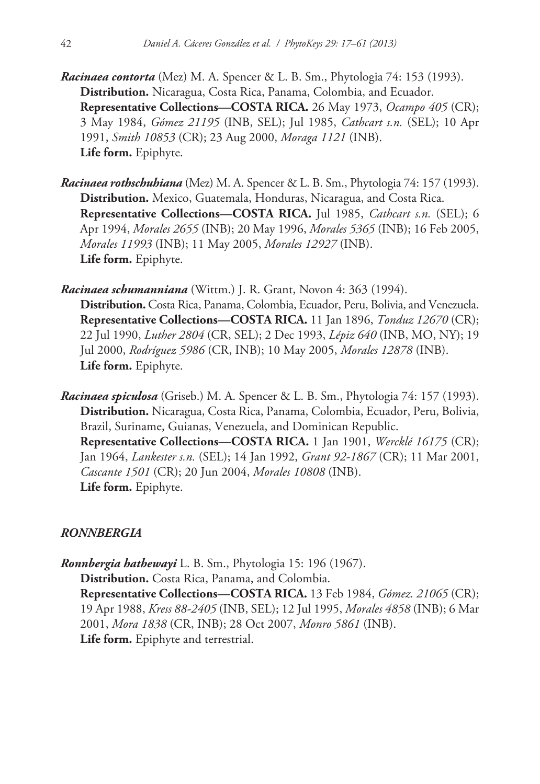- *Racinaea contorta* (Mez) M. A. Spencer & L. B. Sm., Phytologia 74: 153 (1993). **Distribution.** Nicaragua, Costa Rica, Panama, Colombia, and Ecuador. **Representative Collections—COSTA RICA.** 26 May 1973, *Ocampo 405* (CR); 3 May 1984, *Gómez 21195* (INB, SEL); Jul 1985, *Cathcart s.n.* (SEL); 10 Apr 1991, *Smith 10853* (CR); 23 Aug 2000, *Moraga 1121* (INB). **Life form.** Epiphyte.
- *Racinaea rothschuhiana* (Mez) M. A. Spencer & L. B. Sm., Phytologia 74: 157 (1993). **Distribution.** Mexico, Guatemala, Honduras, Nicaragua, and Costa Rica. **Representative Collections—COSTA RICA.** Jul 1985, *Cathcart s.n.* (SEL); 6 Apr 1994, *Morales 2655* (INB); 20 May 1996, *Morales 5365* (INB); 16 Feb 2005, *Morales 11993* (INB); 11 May 2005, *Morales 12927* (INB). **Life form.** Epiphyte.

*Racinaea schumanniana* (Wittm.) J. R. Grant, Novon 4: 363 (1994).

**Distribution.** Costa Rica, Panama, Colombia, Ecuador, Peru, Bolivia, and Venezuela. **Representative Collections—COSTA RICA.** 11 Jan 1896, *Tonduz 12670* (CR); 22 Jul 1990, *Luther 2804* (CR, SEL); 2 Dec 1993, *Lépiz 640* (INB, MO, NY); 19 Jul 2000, *Rodríguez 5986* (CR, INB); 10 May 2005, *Morales 12878* (INB). **Life form.** Epiphyte.

*Racinaea spiculosa* (Griseb.) M. A. Spencer & L. B. Sm., Phytologia 74: 157 (1993). **Distribution.** Nicaragua, Costa Rica, Panama, Colombia, Ecuador, Peru, Bolivia, Brazil, Suriname, Guianas, Venezuela, and Dominican Republic. **Representative Collections—COSTA RICA.** 1 Jan 1901, *Wercklé 16175* (CR); Jan 1964, *Lankester s.n.* (SEL); 14 Jan 1992, *Grant 92-1867* (CR); 11 Mar 2001, *Cascante 1501* (CR); 20 Jun 2004, *Morales 10808* (INB). **Life form.** Epiphyte.

### *RONNBERGIA*

*Ronnbergia hathewayi* L. B. Sm., Phytologia 15: 196 (1967). **Distribution.** Costa Rica, Panama, and Colombia. **Representative Collections—COSTA RICA.** 13 Feb 1984, *Gómez. 21065* (CR); 19 Apr 1988, *Kress 88-2405* (INB, SEL); 12 Jul 1995, *Morales 4858* (INB); 6 Mar 2001, *Mora 1838* (CR, INB); 28 Oct 2007, *Monro 5861* (INB). **Life form.** Epiphyte and terrestrial.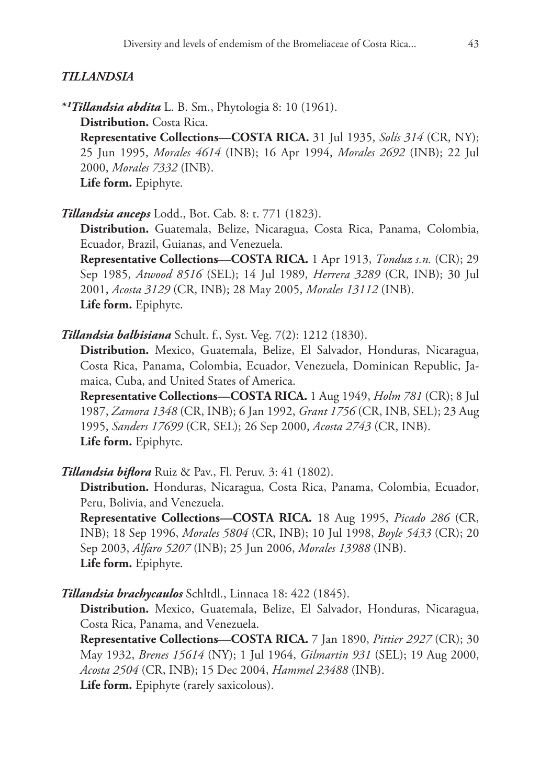### *TILLANDSIA*

*\*¹Tillandsia abdita* L. B. Sm., Phytologia 8: 10 (1961). **Distribution.** Costa Rica. **Representative Collections—COSTA RICA.** 31 Jul 1935, *Solís 314* (CR, NY); 25 Jun 1995, *Morales 4614* (INB); 16 Apr 1994, *Morales 2692* (INB); 22 Jul 2000, *Morales 7332* (INB). **Life form.** Epiphyte.

*Tillandsia anceps* Lodd., Bot. Cab. 8: t. 771 (1823).

**Distribution.** Guatemala, Belize, Nicaragua, Costa Rica, Panama, Colombia, Ecuador, Brazil, Guianas, and Venezuela.

**Representative Collections—COSTA RICA.** 1 Apr 1913, *Tonduz s.n.* (CR); 29 Sep 1985, *Atwood 8516* (SEL); 14 Jul 1989, *Herrera 3289* (CR, INB); 30 Jul 2001, *Acosta 3129* (CR, INB); 28 May 2005, *Morales 13112* (INB). **Life form.** Epiphyte.

*Tillandsia balbisiana* Schult. f., Syst. Veg. 7(2): 1212 (1830).

**Distribution.** Mexico, Guatemala, Belize, El Salvador, Honduras, Nicaragua, Costa Rica, Panama, Colombia, Ecuador, Venezuela, Dominican Republic, Jamaica, Cuba, and United States of America.

**Representative Collections—COSTA RICA.** 1 Aug 1949, *Holm 781* (CR); 8 Jul 1987, *Zamora 1348* (CR, INB); 6 Jan 1992, *Grant 1756* (CR, INB, SEL); 23 Aug 1995, *Sanders 17699* (CR, SEL); 26 Sep 2000, *Acosta 2743* (CR, INB). **Life form.** Epiphyte.

*Tillandsia biflora* Ruiz & Pav., Fl. Peruv. 3: 41 (1802).

**Distribution.** Honduras, Nicaragua, Costa Rica, Panama, Colombia, Ecuador, Peru, Bolivia, and Venezuela.

**Representative Collections—COSTA RICA.** 18 Aug 1995, *Picado 286* (CR, INB); 18 Sep 1996, *Morales 5804* (CR, INB); 10 Jul 1998, *Boyle 5433* (CR); 20 Sep 2003, *Alfaro 5207* (INB); 25 Jun 2006, *Morales 13988* (INB). **Life form.** Epiphyte.

*Tillandsia brachycaulos* Schltdl., Linnaea 18: 422 (1845).

**Distribution.** Mexico, Guatemala, Belize, El Salvador, Honduras, Nicaragua, Costa Rica, Panama, and Venezuela.

**Representative Collections—COSTA RICA.** 7 Jan 1890, *Pittier 2927* (CR); 30 May 1932, *Brenes 15614* (NY); 1 Jul 1964, *Gilmartin 931* (SEL); 19 Aug 2000, *Acosta 2504* (CR, INB); 15 Dec 2004, *Hammel 23488* (INB). **Life form.** Epiphyte (rarely saxicolous).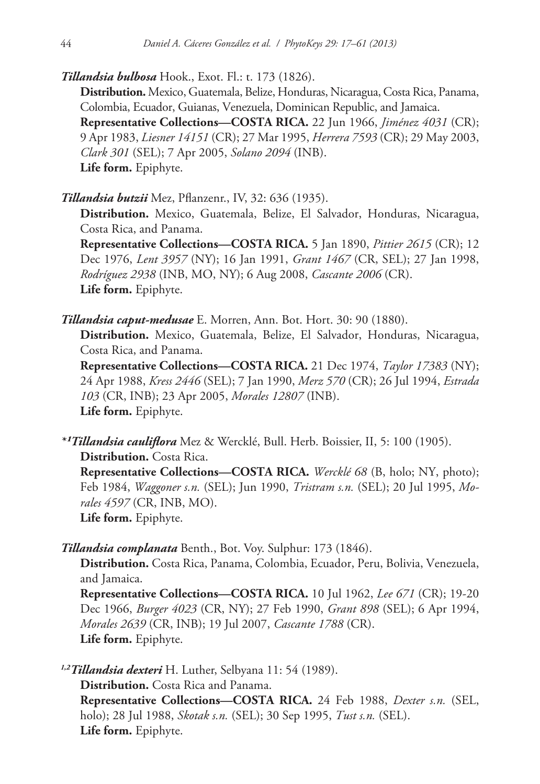*Tillandsia bulbosa* Hook., Exot. Fl.: t. 173 (1826).

**Distribution.** Mexico, Guatemala, Belize, Honduras, Nicaragua, Costa Rica, Panama, Colombia, Ecuador, Guianas, Venezuela, Dominican Republic, and Jamaica. **Representative Collections—COSTA RICA.** 22 Jun 1966, *Jiménez 4031* (CR); 9 Apr 1983, *Liesner 14151* (CR); 27 Mar 1995, *Herrera 7593* (CR); 29 May 2003, *Clark 301* (SEL); 7 Apr 2005, *Solano 2094* (INB). **Life form.** Epiphyte.

*Tillandsia butzii* Mez, Pflanzenr., IV, 32: 636 (1935).

**Distribution.** Mexico, Guatemala, Belize, El Salvador, Honduras, Nicaragua, Costa Rica, and Panama.

**Representative Collections—COSTA RICA.** 5 Jan 1890, *Pittier 2615* (CR); 12 Dec 1976, *Lent 3957* (NY); 16 Jan 1991, *Grant 1467* (CR, SEL); 27 Jan 1998, *Rodríguez 2938* (INB, MO, NY); 6 Aug 2008, *Cascante 2006* (CR). **Life form.** Epiphyte.

*Tillandsia caput-medusae* E. Morren, Ann. Bot. Hort. 30: 90 (1880).

**Distribution.** Mexico, Guatemala, Belize, El Salvador, Honduras, Nicaragua, Costa Rica, and Panama.

**Representative Collections—COSTA RICA.** 21 Dec 1974, *Taylor 17383* (NY); 24 Apr 1988, *Kress 2446* (SEL); 7 Jan 1990, *Merz 570* (CR); 26 Jul 1994, *Estrada 103* (CR, INB); 23 Apr 2005, *Morales 12807* (INB). **Life form.** Epiphyte.

*\*¹Tillandsia cauliflora* Mez & Wercklé, Bull. Herb. Boissier, II, 5: 100 (1905). **Distribution.** Costa Rica.

**Representative Collections—COSTA RICA.** *Wercklé 68* (B, holo; NY, photo); Feb 1984, *Waggoner s.n.* (SEL); Jun 1990, *Tristram s.n.* (SEL); 20 Jul 1995, *Morales 4597* (CR, INB, MO). **Life form.** Epiphyte.

*Tillandsia complanata* Benth., Bot. Voy. Sulphur: 173 (1846).

**Distribution.** Costa Rica, Panama, Colombia, Ecuador, Peru, Bolivia, Venezuela, and Jamaica.

**Representative Collections—COSTA RICA.** 10 Jul 1962, *Lee 671* (CR); 19-20 Dec 1966, *Burger 4023* (CR, NY); 27 Feb 1990, *Grant 898* (SEL); 6 Apr 1994, *Morales 2639* (CR, INB); 19 Jul 2007, *Cascante 1788* (CR). **Life form.** Epiphyte.

*1,2Tillandsia dexteri* H. Luther, Selbyana 11: 54 (1989). **Distribution.** Costa Rica and Panama. **Representative Collections—COSTA RICA.** 24 Feb 1988, *Dexter s.n.* (SEL, holo); 28 Jul 1988, *Skotak s.n.* (SEL); 30 Sep 1995, *Tust s.n.* (SEL). **Life form.** Epiphyte.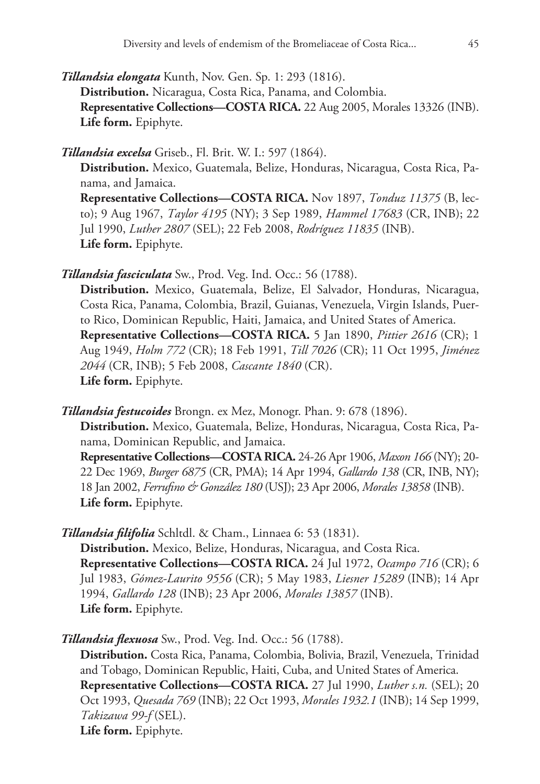*Tillandsia elongata* Kunth, Nov. Gen. Sp. 1: 293 (1816). **Distribution.** Nicaragua, Costa Rica, Panama, and Colombia. **Representative Collections—COSTA RICA.** 22 Aug 2005, Morales 13326 (INB). **Life form.** Epiphyte.

*Tillandsia excelsa* Griseb., Fl. Brit. W. I.: 597 (1864).

**Distribution.** Mexico, Guatemala, Belize, Honduras, Nicaragua, Costa Rica, Panama, and Jamaica. **Representative Collections—COSTA RICA.** Nov 1897, *Tonduz 11375* (B, lec-

to); 9 Aug 1967, *Taylor 4195* (NY); 3 Sep 1989, *Hammel 17683* (CR, INB); 22 Jul 1990, *Luther 2807* (SEL); 22 Feb 2008, *Rodríguez 11835* (INB). **Life form.** Epiphyte.

*Tillandsia fasciculata* Sw., Prod. Veg. Ind. Occ.: 56 (1788).

**Distribution.** Mexico, Guatemala, Belize, El Salvador, Honduras, Nicaragua, Costa Rica, Panama, Colombia, Brazil, Guianas, Venezuela, Virgin Islands, Puerto Rico, Dominican Republic, Haiti, Jamaica, and United States of America. **Representative Collections—COSTA RICA.** 5 Jan 1890, *Pittier 2616* (CR); 1 Aug 1949, *Holm 772* (CR); 18 Feb 1991, *Till 7026* (CR); 11 Oct 1995, *Jiménez 2044* (CR, INB); 5 Feb 2008, *Cascante 1840* (CR). **Life form.** Epiphyte.

*Tillandsia festucoides* Brongn. ex Mez, Monogr. Phan. 9: 678 (1896).

**Distribution.** Mexico, Guatemala, Belize, Honduras, Nicaragua, Costa Rica, Panama, Dominican Republic, and Jamaica.

**Representative Collections—COSTA RICA.** 24-26 Apr 1906, *Maxon 166* (NY); 20- 22 Dec 1969, *Burger 6875* (CR, PMA); 14 Apr 1994, *Gallardo 138* (CR, INB, NY); 18 Jan 2002, *Ferrufino & González 180* (USJ); 23 Apr 2006, *Morales 13858* (INB). **Life form.** Epiphyte.

*Tillandsia filifolia* Schltdl. & Cham., Linnaea 6: 53 (1831). **Distribution.** Mexico, Belize, Honduras, Nicaragua, and Costa Rica. **Representative Collections—COSTA RICA.** 24 Jul 1972, *Ocampo 716* (CR); 6 Jul 1983, *Gómez-Laurito 9556* (CR); 5 May 1983, *Liesner 15289* (INB); 14 Apr 1994, *Gallardo 128* (INB); 23 Apr 2006, *Morales 13857* (INB).

**Life form.** Epiphyte.

*Tillandsia flexuosa* Sw., Prod. Veg. Ind. Occ.: 56 (1788).

**Distribution.** Costa Rica, Panama, Colombia, Bolivia, Brazil, Venezuela, Trinidad and Tobago, Dominican Republic, Haiti, Cuba, and United States of America.

**Representative Collections—COSTA RICA.** 27 Jul 1990, *Luther s.n.* (SEL); 20 Oct 1993, *Quesada 769* (INB); 22 Oct 1993, *Morales 1932.1* (INB); 14 Sep 1999, *Takizawa 99-f* (SEL).

**Life form.** Epiphyte.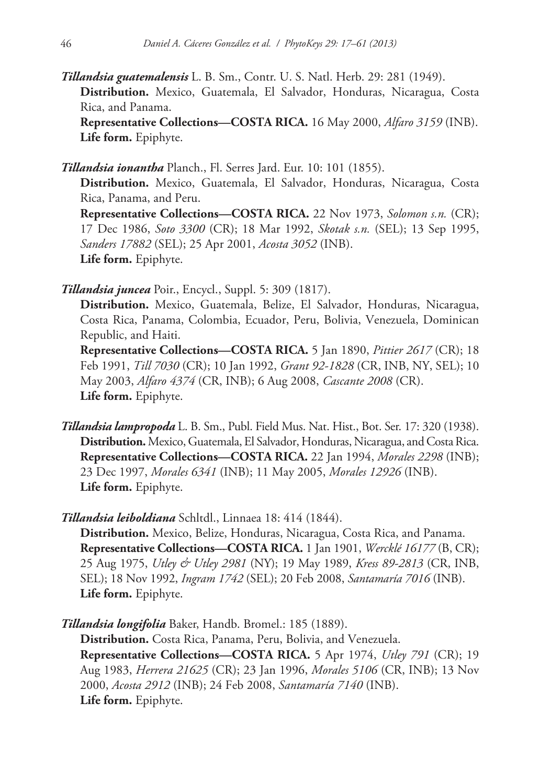*Tillandsia guatemalensis* L. B. Sm., Contr. U. S. Natl. Herb. 29: 281 (1949). **Distribution.** Mexico, Guatemala, El Salvador, Honduras, Nicaragua, Costa Rica, and Panama. **Representative Collections—COSTA RICA.** 16 May 2000, *Alfaro 3159* (INB). **Life form.** Epiphyte.

*Tillandsia ionantha* Planch., Fl. Serres Jard. Eur. 10: 101 (1855).

**Distribution.** Mexico, Guatemala, El Salvador, Honduras, Nicaragua, Costa Rica, Panama, and Peru. **Representative Collections—COSTA RICA.** 22 Nov 1973, *Solomon s.n.* (CR); 17 Dec 1986, *Soto 3300* (CR); 18 Mar 1992, *Skotak s.n.* (SEL); 13 Sep 1995, *Sanders 17882* (SEL); 25 Apr 2001, *Acosta 3052* (INB). **Life form.** Epiphyte.

*Tillandsia juncea* Poir., Encycl., Suppl. 5: 309 (1817).

**Distribution.** Mexico, Guatemala, Belize, El Salvador, Honduras, Nicaragua, Costa Rica, Panama, Colombia, Ecuador, Peru, Bolivia, Venezuela, Dominican Republic, and Haiti.

**Representative Collections—COSTA RICA.** 5 Jan 1890, *Pittier 2617* (CR); 18 Feb 1991, *Till 7030* (CR); 10 Jan 1992, *Grant 92-1828* (CR, INB, NY, SEL); 10 May 2003, *Alfaro 4374* (CR, INB); 6 Aug 2008, *Cascante 2008* (CR). **Life form.** Epiphyte.

*Tillandsia lampropoda* L. B. Sm., Publ. Field Mus. Nat. Hist., Bot. Ser. 17: 320 (1938). **Distribution.** Mexico, Guatemala, El Salvador, Honduras, Nicaragua, and Costa Rica. **Representative Collections—COSTA RICA.** 22 Jan 1994, *Morales 2298* (INB); 23 Dec 1997, *Morales 6341* (INB); 11 May 2005, *Morales 12926* (INB). **Life form.** Epiphyte.

*Tillandsia leiboldiana* Schltdl., Linnaea 18: 414 (1844).

**Distribution.** Mexico, Belize, Honduras, Nicaragua, Costa Rica, and Panama. **Representative Collections—COSTA RICA.** 1 Jan 1901, *Wercklé 16177* (B, CR); 25 Aug 1975, *Utley & Utley 2981* (NY); 19 May 1989, *Kress 89-2813* (CR, INB, SEL); 18 Nov 1992, *Ingram 1742* (SEL); 20 Feb 2008, *Santamaría 7016* (INB). **Life form.** Epiphyte.

*Tillandsia longifolia* Baker, Handb. Bromel.: 185 (1889).

**Distribution.** Costa Rica, Panama, Peru, Bolivia, and Venezuela. **Representative Collections—COSTA RICA.** 5 Apr 1974, *Utley 791* (CR); 19 Aug 1983, *Herrera 21625* (CR); 23 Jan 1996, *Morales 5106* (CR, INB); 13 Nov 2000, *Acosta 2912* (INB); 24 Feb 2008, *Santamaría 7140* (INB). **Life form.** Epiphyte.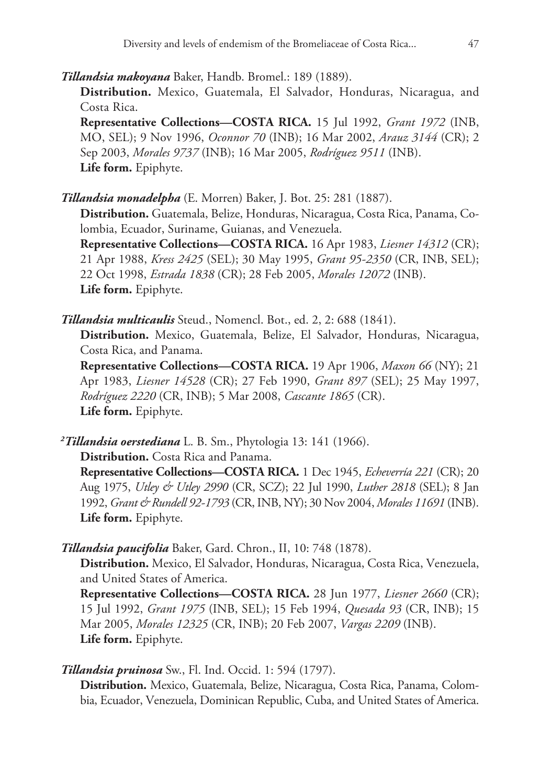*Tillandsia makoyana* Baker, Handb. Bromel.: 189 (1889).

**Distribution.** Mexico, Guatemala, El Salvador, Honduras, Nicaragua, and Costa Rica.

**Representative Collections—COSTA RICA.** 15 Jul 1992, *Grant 1972* (INB, MO, SEL); 9 Nov 1996, *Oconnor 70* (INB); 16 Mar 2002, *Arauz 3144* (CR); 2 Sep 2003, *Morales 9737* (INB); 16 Mar 2005, *Rodríguez 9511* (INB). **Life form.** Epiphyte.

*Tillandsia monadelpha* (E. Morren) Baker, J. Bot. 25: 281 (1887).

**Distribution.** Guatemala, Belize, Honduras, Nicaragua, Costa Rica, Panama, Colombia, Ecuador, Suriname, Guianas, and Venezuela.

**Representative Collections—COSTA RICA.** 16 Apr 1983, *Liesner 14312* (CR); 21 Apr 1988, *Kress 2425* (SEL); 30 May 1995, *Grant 95-2350* (CR, INB, SEL); 22 Oct 1998, *Estrada 1838* (CR); 28 Feb 2005, *Morales 12072* (INB). **Life form.** Epiphyte.

*Tillandsia multicaulis* Steud., Nomencl. Bot., ed. 2, 2: 688 (1841).

**Distribution.** Mexico, Guatemala, Belize, El Salvador, Honduras, Nicaragua, Costa Rica, and Panama.

**Representative Collections—COSTA RICA.** 19 Apr 1906, *Maxon 66* (NY); 21 Apr 1983, *Liesner 14528* (CR); 27 Feb 1990, *Grant 897* (SEL); 25 May 1997, *Rodríguez 2220* (CR, INB); 5 Mar 2008, *Cascante 1865* (CR). **Life form.** Epiphyte.

*2 Tillandsia oerstediana* L. B. Sm., Phytologia 13: 141 (1966).

**Distribution.** Costa Rica and Panama.

**Representative Collections—COSTA RICA.** 1 Dec 1945, *Echeverría 221* (CR); 20 Aug 1975, *Utley & Utley 2990* (CR, SCZ); 22 Jul 1990, *Luther 2818* (SEL); 8 Jan 1992, *Grant & Rundell 92-1793* (CR, INB, NY); 30 Nov 2004, *Morales 11691* (INB). **Life form.** Epiphyte.

*Tillandsia paucifolia* Baker, Gard. Chron., II, 10: 748 (1878).

**Distribution.** Mexico, El Salvador, Honduras, Nicaragua, Costa Rica, Venezuela, and United States of America.

**Representative Collections—COSTA RICA.** 28 Jun 1977, *Liesner 2660* (CR); 15 Jul 1992, *Grant 1975* (INB, SEL); 15 Feb 1994, *Quesada 93* (CR, INB); 15 Mar 2005, *Morales 12325* (CR, INB); 20 Feb 2007, *Vargas 2209* (INB). **Life form.** Epiphyte.

*Tillandsia pruinosa* Sw., Fl. Ind. Occid. 1: 594 (1797).

**Distribution.** Mexico, Guatemala, Belize, Nicaragua, Costa Rica, Panama, Colombia, Ecuador, Venezuela, Dominican Republic, Cuba, and United States of America.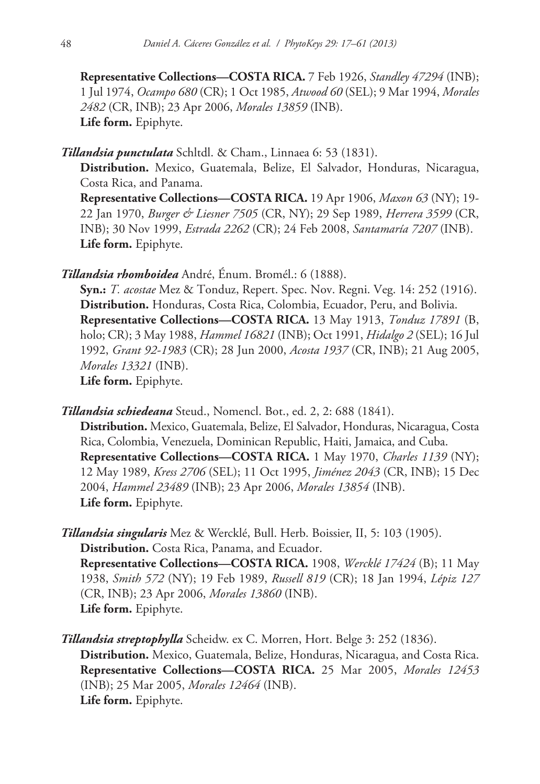**Representative Collections—COSTA RICA.** 7 Feb 1926, *Standley 47294* (INB); 1 Jul 1974, *Ocampo 680* (CR); 1 Oct 1985, *Atwood 60* (SEL); 9 Mar 1994, *Morales 2482* (CR, INB); 23 Apr 2006, *Morales 13859* (INB). **Life form.** Epiphyte.

# *Tillandsia punctulata* Schltdl. & Cham., Linnaea 6: 53 (1831).

**Distribution.** Mexico, Guatemala, Belize, El Salvador, Honduras, Nicaragua, Costa Rica, and Panama.

**Representative Collections—COSTA RICA.** 19 Apr 1906, *Maxon 63* (NY); 19- 22 Jan 1970, *Burger & Liesner 7505* (CR, NY); 29 Sep 1989, *Herrera 3599* (CR, INB); 30 Nov 1999, *Estrada 2262* (CR); 24 Feb 2008, *Santamaría 7207* (INB). **Life form.** Epiphyte.

*Tillandsia rhomboidea* André, Énum. Bromél.: 6 (1888).

**Syn.:** *T. acostae* Mez & Tonduz, Repert. Spec. Nov. Regni. Veg. 14: 252 (1916). **Distribution.** Honduras, Costa Rica, Colombia, Ecuador, Peru, and Bolivia. **Representative Collections—COSTA RICA.** 13 May 1913, *Tonduz 17891* (B, holo; CR); 3 May 1988, *Hammel 16821* (INB); Oct 1991, *Hidalgo 2* (SEL); 16 Jul 1992, *Grant 92-1983* (CR); 28 Jun 2000, *Acosta 1937* (CR, INB); 21 Aug 2005, *Morales 13321* (INB). **Life form.** Epiphyte.

*Tillandsia schiedeana* Steud., Nomencl. Bot., ed. 2, 2: 688 (1841).

**Distribution.** Mexico, Guatemala, Belize, El Salvador, Honduras, Nicaragua, Costa Rica, Colombia, Venezuela, Dominican Republic, Haiti, Jamaica, and Cuba. **Representative Collections—COSTA RICA.** 1 May 1970, *Charles 1139* (NY); 12 May 1989, *Kress 2706* (SEL); 11 Oct 1995, *Jiménez 2043* (CR, INB); 15 Dec 2004, *Hammel 23489* (INB); 23 Apr 2006, *Morales 13854* (INB). **Life form.** Epiphyte.

*Tillandsia singularis* Mez & Wercklé, Bull. Herb. Boissier, II, 5: 103 (1905). **Distribution.** Costa Rica, Panama, and Ecuador. **Representative Collections—COSTA RICA.** 1908, *Wercklé 17424* (B); 11 May 1938, *Smith 572* (NY); 19 Feb 1989, *Russell 819* (CR); 18 Jan 1994, *Lépiz 127* (CR, INB); 23 Apr 2006, *Morales 13860* (INB). **Life form.** Epiphyte.

*Tillandsia streptophylla* Scheidw. ex C. Morren, Hort. Belge 3: 252 (1836). **Distribution.** Mexico, Guatemala, Belize, Honduras, Nicaragua, and Costa Rica. **Representative Collections—COSTA RICA.** 25 Mar 2005, *Morales 12453* (INB); 25 Mar 2005, *Morales 12464* (INB). **Life form.** Epiphyte.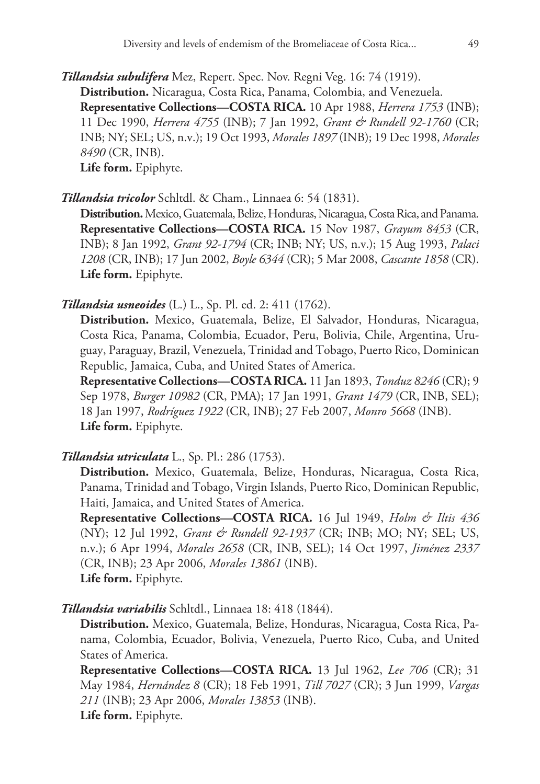*Tillandsia subulifera* Mez, Repert. Spec. Nov. Regni Veg. 16: 74 (1919). **Distribution.** Nicaragua, Costa Rica, Panama, Colombia, and Venezuela. **Representative Collections—COSTA RICA.** 10 Apr 1988, *Herrera 1753* (INB); 11 Dec 1990, *Herrera 4755* (INB); 7 Jan 1992, *Grant & Rundell 92-1760* (CR; INB; NY; SEL; US, n.v.); 19 Oct 1993, *Morales 1897* (INB); 19 Dec 1998, *Morales 8490* (CR, INB). **Life form.** Epiphyte.

*Tillandsia tricolor* Schltdl. & Cham., Linnaea 6: 54 (1831).

**Distribution.** Mexico, Guatemala, Belize, Honduras, Nicaragua, Costa Rica, and Panama. **Representative Collections—COSTA RICA.** 15 Nov 1987, *Grayum 8453* (CR, INB); 8 Jan 1992, *Grant 92-1794* (CR; INB; NY; US, n.v.); 15 Aug 1993, *Palaci 1208* (CR, INB); 17 Jun 2002, *Boyle 6344* (CR); 5 Mar 2008, *Cascante 1858* (CR). **Life form.** Epiphyte.

# *Tillandsia usneoides* (L.) L., Sp. Pl. ed. 2: 411 (1762).

**Distribution.** Mexico, Guatemala, Belize, El Salvador, Honduras, Nicaragua, Costa Rica, Panama, Colombia, Ecuador, Peru, Bolivia, Chile, Argentina, Uruguay, Paraguay, Brazil, Venezuela, Trinidad and Tobago, Puerto Rico, Dominican Republic, Jamaica, Cuba, and United States of America.

**Representative Collections—COSTA RICA.** 11 Jan 1893, *Tonduz 8246* (CR); 9 Sep 1978, *Burger 10982* (CR, PMA); 17 Jan 1991, *Grant 1479* (CR, INB, SEL); 18 Jan 1997, *Rodríguez 1922* (CR, INB); 27 Feb 2007, *Monro 5668* (INB). **Life form.** Epiphyte.

# *Tillandsia utriculata* L., Sp. Pl.: 286 (1753).

**Distribution.** Mexico, Guatemala, Belize, Honduras, Nicaragua, Costa Rica, Panama, Trinidad and Tobago, Virgin Islands, Puerto Rico, Dominican Republic, Haiti, Jamaica, and United States of America.

**Representative Collections—COSTA RICA.** 16 Jul 1949, *Holm & Iltis 436* (NY); 12 Jul 1992, *Grant & Rundell 92-1937* (CR; INB; MO; NY; SEL; US, n.v.); 6 Apr 1994, *Morales 2658* (CR, INB, SEL); 14 Oct 1997, *Jiménez 2337* (CR, INB); 23 Apr 2006, *Morales 13861* (INB). **Life form.** Epiphyte.

*Tillandsia variabilis* Schltdl., Linnaea 18: 418 (1844).

**Distribution.** Mexico, Guatemala, Belize, Honduras, Nicaragua, Costa Rica, Panama, Colombia, Ecuador, Bolivia, Venezuela, Puerto Rico, Cuba, and United States of America.

**Representative Collections—COSTA RICA.** 13 Jul 1962, *Lee 706* (CR); 31 May 1984, *Hernández 8* (CR); 18 Feb 1991, *Till 7027* (CR); 3 Jun 1999, *Vargas 211* (INB); 23 Apr 2006, *Morales 13853* (INB). **Life form.** Epiphyte.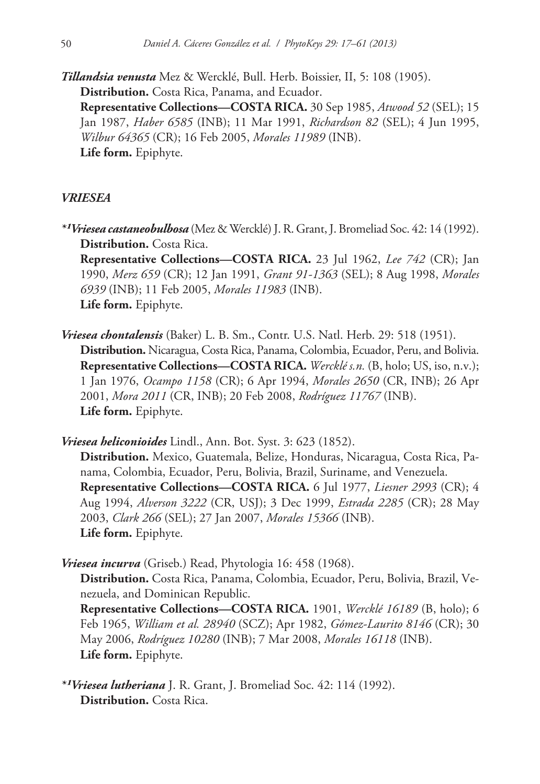*Tillandsia venusta* Mez & Wercklé, Bull. Herb. Boissier, II, 5: 108 (1905). **Distribution.** Costa Rica, Panama, and Ecuador.

**Representative Collections—COSTA RICA.** 30 Sep 1985, *Atwood 52* (SEL); 15 Jan 1987, *Haber 6585* (INB); 11 Mar 1991, *Richardson 82* (SEL); 4 Jun 1995, *Wilbur 64365* (CR); 16 Feb 2005, *Morales 11989* (INB). **Life form.** Epiphyte.

# *VRIESEA*

*\*¹Vriesea castaneobulbosa* (Mez & Wercklé) J. R. Grant, J. Bromeliad Soc. 42: 14 (1992). **Distribution.** Costa Rica.

**Representative Collections—COSTA RICA.** 23 Jul 1962, *Lee 742* (CR); Jan 1990, *Merz 659* (CR); 12 Jan 1991, *Grant 91-1363* (SEL); 8 Aug 1998, *Morales 6939* (INB); 11 Feb 2005, *Morales 11983* (INB). **Life form.** Epiphyte.

*Vriesea chontalensis* (Baker) L. B. Sm., Contr. U.S. Natl. Herb. 29: 518 (1951). **Distribution.** Nicaragua, Costa Rica, Panama, Colombia, Ecuador, Peru, and Bolivia. **Representative Collections—COSTA RICA.** *Wercklé s.n.* (B, holo; US, iso, n.v.); 1 Jan 1976, *Ocampo 1158* (CR); 6 Apr 1994, *Morales 2650* (CR, INB); 26 Apr 2001, *Mora 2011* (CR, INB); 20 Feb 2008, *Rodríguez 11767* (INB). **Life form.** Epiphyte.

*Vriesea heliconioides* Lindl., Ann. Bot. Syst. 3: 623 (1852). **Distribution.** Mexico, Guatemala, Belize, Honduras, Nicaragua, Costa Rica, Panama, Colombia, Ecuador, Peru, Bolivia, Brazil, Suriname, and Venezuela. **Representative Collections—COSTA RICA.** 6 Jul 1977, *Liesner 2993* (CR); 4 Aug 1994, *Alverson 3222* (CR, USJ); 3 Dec 1999, *Estrada 2285* (CR); 28 May 2003, *Clark 266* (SEL); 27 Jan 2007, *Morales 15366* (INB). **Life form.** Epiphyte.

*Vriesea incurva* (Griseb.) Read, Phytologia 16: 458 (1968).

**Distribution.** Costa Rica, Panama, Colombia, Ecuador, Peru, Bolivia, Brazil, Venezuela, and Dominican Republic.

**Representative Collections—COSTA RICA.** 1901, *Wercklé 16189* (B, holo); 6 Feb 1965, *William et al. 28940* (SCZ); Apr 1982, *Gómez-Laurito 8146* (CR); 30 May 2006, *Rodríguez 10280* (INB); 7 Mar 2008, *Morales 16118* (INB). **Life form.** Epiphyte.

*\*¹Vriesea lutheriana* J. R. Grant, J. Bromeliad Soc. 42: 114 (1992). **Distribution.** Costa Rica.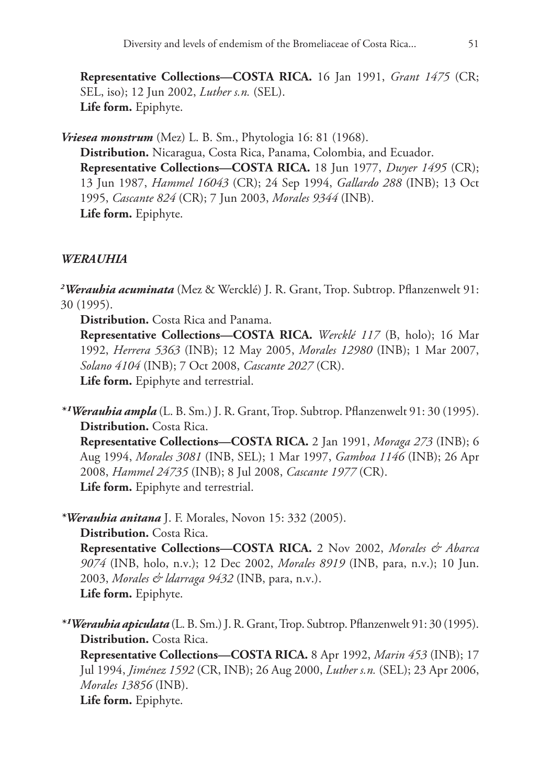**Representative Collections—COSTA RICA.** 16 Jan 1991, *Grant 1475* (CR; SEL, iso); 12 Jun 2002, *Luther s.n.* (SEL). **Life form.** Epiphyte.

*Vriesea monstrum* (Mez) L. B. Sm., Phytologia 16: 81 (1968). **Distribution.** Nicaragua, Costa Rica, Panama, Colombia, and Ecuador. **Representative Collections—COSTA RICA.** 18 Jun 1977, *Dwyer 1495* (CR); 13 Jun 1987, *Hammel 16043* (CR); 24 Sep 1994, *Gallardo 288* (INB); 13 Oct 1995, *Cascante 824* (CR); 7 Jun 2003, *Morales 9344* (INB). **Life form.** Epiphyte.

# *WERAUHIA*

*2 Werauhia acuminata* (Mez & Wercklé) J. R. Grant, Trop. Subtrop. Pflanzenwelt 91: 30 (1995).

**Distribution.** Costa Rica and Panama.

**Representative Collections—COSTA RICA.** *Wercklé 117* (B, holo); 16 Mar 1992, *Herrera 5363* (INB); 12 May 2005, *Morales 12980* (INB); 1 Mar 2007, *Solano 4104* (INB); 7 Oct 2008, *Cascante 2027* (CR). **Life form.** Epiphyte and terrestrial.

*\*¹Werauhia ampla* (L. B. Sm.) J. R. Grant, Trop. Subtrop. Pflanzenwelt 91: 30 (1995). **Distribution.** Costa Rica.

**Representative Collections—COSTA RICA.** 2 Jan 1991, *Moraga 273* (INB); 6 Aug 1994, *Morales 3081* (INB, SEL); 1 Mar 1997, *Gamboa 1146* (INB); 26 Apr 2008, *Hammel 24735* (INB); 8 Jul 2008, *Cascante 1977* (CR). **Life form.** Epiphyte and terrestrial.

*\*Werauhia anitana* J. F. Morales, Novon 15: 332 (2005).

**Distribution.** Costa Rica.

**Representative Collections—COSTA RICA.** 2 Nov 2002, *Morales & Abarca 9074* (INB, holo, n.v.); 12 Dec 2002, *Morales 8919* (INB, para, n.v.); 10 Jun. 2003, *Morales & ldarraga 9432* (INB, para, n.v.). **Life form.** Epiphyte.

*\*¹Werauhia apiculata* (L. B. Sm.) J. R. Grant, Trop. Subtrop. Pflanzenwelt 91: 30 (1995). **Distribution.** Costa Rica.

**Representative Collections—COSTA RICA.** 8 Apr 1992, *Marin 453* (INB); 17 Jul 1994, *Jiménez 1592* (CR, INB); 26 Aug 2000, *Luther s.n.* (SEL); 23 Apr 2006, *Morales 13856* (INB).

**Life form.** Epiphyte.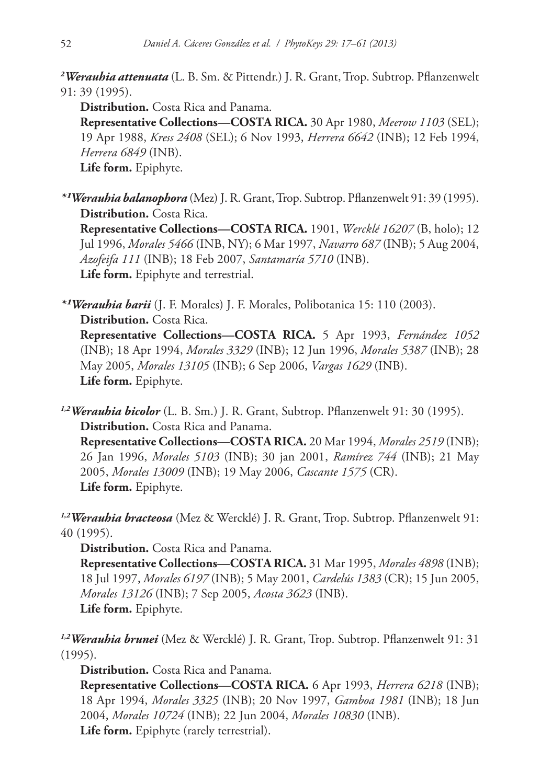*2 Werauhia attenuata* (L. B. Sm. & Pittendr.) J. R. Grant, Trop. Subtrop. Pflanzenwelt 91: 39 (1995).

**Distribution.** Costa Rica and Panama. **Representative Collections—COSTA RICA.** 30 Apr 1980, *Meerow 1103* (SEL); 19 Apr 1988, *Kress 2408* (SEL); 6 Nov 1993, *Herrera 6642* (INB); 12 Feb 1994, *Herrera 6849* (INB). **Life form.** Epiphyte.

*\*¹Werauhia balanophora* (Mez) J. R. Grant, Trop. Subtrop. Pflanzenwelt 91: 39 (1995). **Distribution.** Costa Rica. **Representative Collections—COSTA RICA.** 1901, *Wercklé 16207* (B, holo); 12 Jul 1996, *Morales 5466* (INB, NY); 6 Mar 1997, *Navarro 687* (INB); 5 Aug 2004, *Azofeifa 111* (INB); 18 Feb 2007, *Santamaría 5710* (INB). **Life form.** Epiphyte and terrestrial.

*\*¹Werauhia barii* (J. F. Morales) J. F. Morales, Polibotanica 15: 110 (2003). **Distribution.** Costa Rica. **Representative Collections—COSTA RICA.** 5 Apr 1993, *Fernández 1052* (INB); 18 Apr 1994, *Morales 3329* (INB); 12 Jun 1996, *Morales 5387* (INB); 28 May 2005, *Morales 13105* (INB); 6 Sep 2006, *Vargas 1629* (INB). **Life form.** Epiphyte.

*1,2Werauhia bicolor* (L. B. Sm.) J. R. Grant, Subtrop. Pflanzenwelt 91: 30 (1995). **Distribution.** Costa Rica and Panama.

**Representative Collections—COSTA RICA.** 20 Mar 1994, *Morales 2519* (INB); 26 Jan 1996, *Morales 5103* (INB); 30 jan 2001, *Ramírez 744* (INB); 21 May 2005, *Morales 13009* (INB); 19 May 2006, *Cascante 1575* (CR). **Life form.** Epiphyte.

*1,2Werauhia bracteosa* (Mez & Wercklé) J. R. Grant, Trop. Subtrop. Pflanzenwelt 91: 40 (1995).

**Distribution.** Costa Rica and Panama.

**Representative Collections—COSTA RICA.** 31 Mar 1995, *Morales 4898* (INB); 18 Jul 1997, *Morales 6197* (INB); 5 May 2001, *Cardelús 1383* (CR); 15 Jun 2005, *Morales 13126* (INB); 7 Sep 2005, *Acosta 3623* (INB). **Life form.** Epiphyte.

*1,2Werauhia brunei* (Mez & Wercklé) J. R. Grant, Trop. Subtrop. Pflanzenwelt 91: 31 (1995).

**Distribution.** Costa Rica and Panama.

**Representative Collections—COSTA RICA.** 6 Apr 1993, *Herrera 6218* (INB); 18 Apr 1994, *Morales 3325* (INB); 20 Nov 1997, *Gamboa 1981* (INB); 18 Jun 2004, *Morales 10724* (INB); 22 Jun 2004, *Morales 10830* (INB). **Life form.** Epiphyte (rarely terrestrial).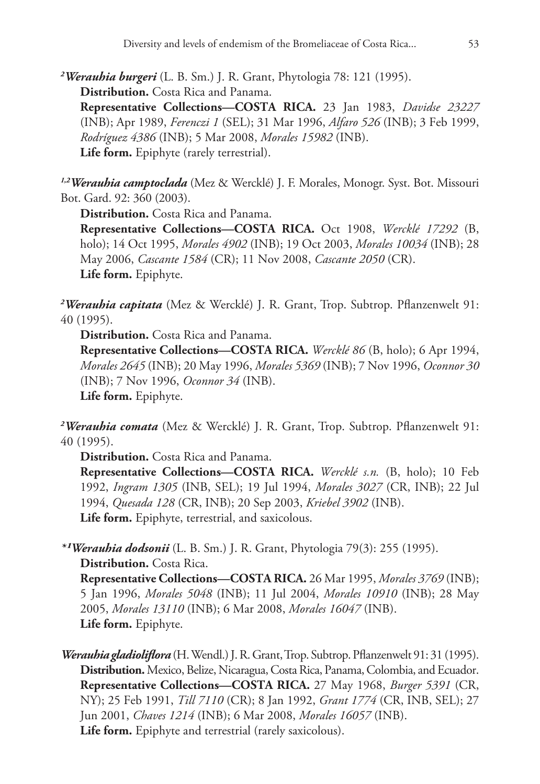*2 Werauhia burgeri* (L. B. Sm.) J. R. Grant, Phytologia 78: 121 (1995). **Distribution.** Costa Rica and Panama.

**Representative Collections—COSTA RICA.** 23 Jan 1983, *Davidse 23227* (INB); Apr 1989, *Ferenczi 1* (SEL); 31 Mar 1996, *Alfaro 526* (INB); 3 Feb 1999, *Rodríguez 4386* (INB); 5 Mar 2008, *Morales 15982* (INB). **Life form.** Epiphyte (rarely terrestrial).

*1,2Werauhia camptoclada* (Mez & Wercklé) J. F. Morales, Monogr. Syst. Bot. Missouri Bot. Gard. 92: 360 (2003).

**Distribution.** Costa Rica and Panama. **Representative Collections—COSTA RICA.** Oct 1908, *Wercklé 17292* (B, holo); 14 Oct 1995, *Morales 4902* (INB); 19 Oct 2003, *Morales 10034* (INB); 28 May 2006, *Cascante 1584* (CR); 11 Nov 2008, *Cascante 2050* (CR). **Life form.** Epiphyte.

*2 Werauhia capitata* (Mez & Wercklé) J. R. Grant, Trop. Subtrop. Pflanzenwelt 91: 40 (1995).

**Distribution.** Costa Rica and Panama.

**Representative Collections—COSTA RICA.** *Wercklé 86* (B, holo); 6 Apr 1994, *Morales 2645* (INB); 20 May 1996, *Morales 5369* (INB); 7 Nov 1996, *Oconnor 30* (INB); 7 Nov 1996, *Oconnor 34* (INB). **Life form.** Epiphyte.

*2 Werauhia comata* (Mez & Wercklé) J. R. Grant, Trop. Subtrop. Pflanzenwelt 91: 40 (1995).

**Distribution.** Costa Rica and Panama.

**Representative Collections—COSTA RICA.** *Wercklé s.n.* (B, holo); 10 Feb 1992, *Ingram 1305* (INB, SEL); 19 Jul 1994, *Morales 3027* (CR, INB); 22 Jul 1994, *Quesada 128* (CR, INB); 20 Sep 2003, *Kriebel 3902* (INB). **Life form.** Epiphyte, terrestrial, and saxicolous.

*\*¹Werauhia dodsonii* (L. B. Sm.) J. R. Grant, Phytologia 79(3): 255 (1995). **Distribution.** Costa Rica.

**Representative Collections—COSTA RICA.** 26 Mar 1995, *Morales 3769* (INB); 5 Jan 1996, *Morales 5048* (INB); 11 Jul 2004, *Morales 10910* (INB); 28 May 2005, *Morales 13110* (INB); 6 Mar 2008, *Morales 16047* (INB). **Life form.** Epiphyte.

*Werauhia gladioliflora* (H. Wendl.) J. R. Grant, Trop. Subtrop. Pflanzenwelt 91: 31 (1995). **Distribution.** Mexico, Belize, Nicaragua, Costa Rica, Panama, Colombia, and Ecuador. **Representative Collections—COSTA RICA.** 27 May 1968, *Burger 5391* (CR, NY); 25 Feb 1991, *Till 7110* (CR); 8 Jan 1992, *Grant 1774* (CR, INB, SEL); 27 Jun 2001, *Chaves 1214* (INB); 6 Mar 2008, *Morales 16057* (INB). **Life form.** Epiphyte and terrestrial (rarely saxicolous).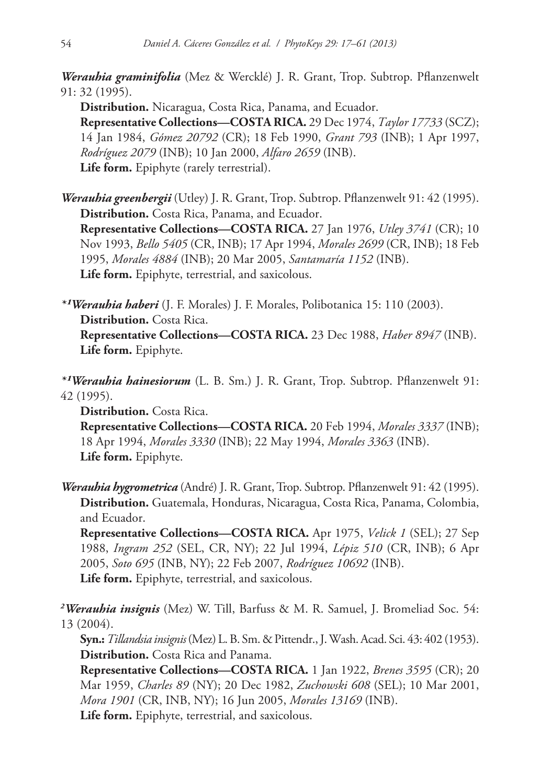*Werauhia graminifolia* (Mez & Wercklé) J. R. Grant, Trop. Subtrop. Pflanzenwelt 91: 32 (1995).

**Distribution.** Nicaragua, Costa Rica, Panama, and Ecuador. **Representative Collections—COSTA RICA.** 29 Dec 1974, *Taylor 17733* (SCZ); 14 Jan 1984, *Gómez 20792* (CR); 18 Feb 1990, *Grant 793* (INB); 1 Apr 1997, *Rodríguez 2079* (INB); 10 Jan 2000, *Alfaro 2659* (INB). **Life form.** Epiphyte (rarely terrestrial).

*Werauhia greenbergii* (Utley) J. R. Grant, Trop. Subtrop. Pflanzenwelt 91: 42 (1995). **Distribution.** Costa Rica, Panama, and Ecuador. **Representative Collections—COSTA RICA.** 27 Jan 1976, *Utley 3741* (CR); 10 Nov 1993, *Bello 5405* (CR, INB); 17 Apr 1994, *Morales 2699* (CR, INB); 18 Feb 1995, *Morales 4884* (INB); 20 Mar 2005, *Santamaría 1152* (INB). **Life form.** Epiphyte, terrestrial, and saxicolous.

*\*¹Werauhia haberi* (J. F. Morales) J. F. Morales, Polibotanica 15: 110 (2003). **Distribution.** Costa Rica. **Representative Collections—COSTA RICA.** 23 Dec 1988, *Haber 8947* (INB). **Life form.** Epiphyte.

*\*¹Werauhia hainesiorum* (L. B. Sm.) J. R. Grant, Trop. Subtrop. Pflanzenwelt 91: 42 (1995).

**Distribution.** Costa Rica. **Representative Collections—COSTA RICA.** 20 Feb 1994, *Morales 3337* (INB); 18 Apr 1994, *Morales 3330* (INB); 22 May 1994, *Morales 3363* (INB). **Life form.** Epiphyte.

*Werauhia hygrometrica* (André) J. R. Grant, Trop. Subtrop. Pflanzenwelt 91: 42 (1995). **Distribution.** Guatemala, Honduras, Nicaragua, Costa Rica, Panama, Colombia, and Ecuador.

**Representative Collections—COSTA RICA.** Apr 1975, *Velick 1* (SEL); 27 Sep 1988, *Ingram 252* (SEL, CR, NY); 22 Jul 1994, *Lépiz 510* (CR, INB); 6 Apr 2005, *Soto 695* (INB, NY); 22 Feb 2007, *Rodríguez 10692* (INB). **Life form.** Epiphyte, terrestrial, and saxicolous.

*2 Werauhia insignis* (Mez) W. Till, Barfuss & M. R. Samuel, J. Bromeliad Soc. 54: 13 (2004).

**Syn.:***Tillandsia insignis* (Mez) L. B. Sm. & Pittendr., J. Wash. Acad. Sci. 43: 402 (1953). **Distribution.** Costa Rica and Panama.

**Representative Collections—COSTA RICA.** 1 Jan 1922, *Brenes 3595* (CR); 20 Mar 1959, *Charles 89* (NY); 20 Dec 1982, *Zuchowski 608* (SEL); 10 Mar 2001, *Mora 1901* (CR, INB, NY); 16 Jun 2005, *Morales 13169* (INB). **Life form.** Epiphyte, terrestrial, and saxicolous.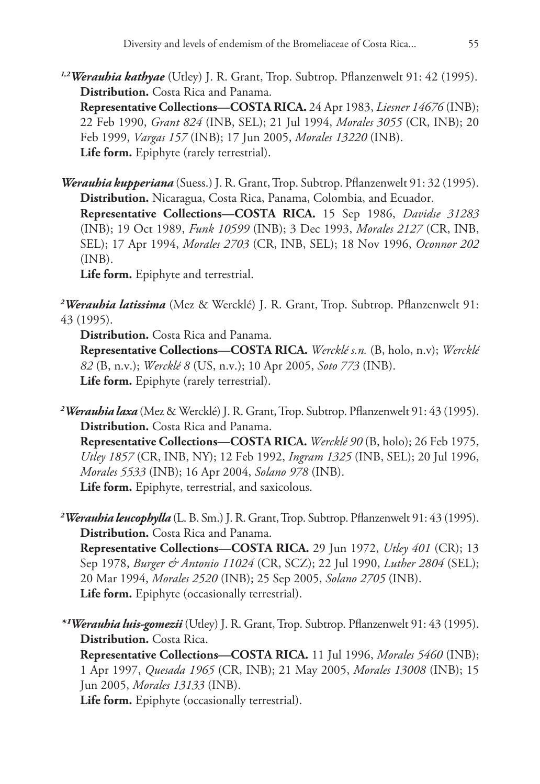*1,2Werauhia kathyae* (Utley) J. R. Grant, Trop. Subtrop. Pflanzenwelt 91: 42 (1995). **Distribution.** Costa Rica and Panama.

**Representative Collections—COSTA RICA.** 24 Apr 1983, *Liesner 14676* (INB); 22 Feb 1990, *Grant 824* (INB, SEL); 21 Jul 1994, *Morales 3055* (CR, INB); 20 Feb 1999, *Vargas 157* (INB); 17 Jun 2005, *Morales 13220* (INB). **Life form.** Epiphyte (rarely terrestrial).

*Werauhia kupperiana* (Suess.) J. R. Grant, Trop. Subtrop. Pflanzenwelt 91: 32 (1995). **Distribution.** Nicaragua, Costa Rica, Panama, Colombia, and Ecuador. **Representative Collections—COSTA RICA.** 15 Sep 1986, *Davidse 31283* (INB); 19 Oct 1989, *Funk 10599* (INB); 3 Dec 1993, *Morales 2127* (CR, INB, SEL); 17 Apr 1994, *Morales 2703* (CR, INB, SEL); 18 Nov 1996, *Oconnor 202* (INB). **Life form.** Epiphyte and terrestrial.

*2 Werauhia latissima* (Mez & Wercklé) J. R. Grant, Trop. Subtrop. Pflanzenwelt 91: 43 (1995).

**Distribution.** Costa Rica and Panama.

**Representative Collections—COSTA RICA.** *Wercklé s.n.* (B, holo, n.v); *Wercklé 82* (B, n.v.); *Wercklé 8* (US, n.v.); 10 Apr 2005, *Soto 773* (INB). **Life form.** Epiphyte (rarely terrestrial).

*2 Werauhia laxa* (Mez & Wercklé) J. R. Grant, Trop. Subtrop. Pflanzenwelt 91: 43 (1995). **Distribution.** Costa Rica and Panama.

**Representative Collections—COSTA RICA.** *Wercklé 90* (B, holo); 26 Feb 1975, *Utley 1857* (CR, INB, NY); 12 Feb 1992, *Ingram 1325* (INB, SEL); 20 Jul 1996, *Morales 5533* (INB); 16 Apr 2004, *Solano 978* (INB). **Life form.** Epiphyte, terrestrial, and saxicolous.

*2 Werauhia leucophylla* (L. B. Sm.) J. R. Grant, Trop. Subtrop. Pflanzenwelt 91: 43 (1995). **Distribution.** Costa Rica and Panama.

**Representative Collections—COSTA RICA.** 29 Jun 1972, *Utley 401* (CR); 13 Sep 1978, *Burger & Antonio 11024* (CR, SCZ); 22 Jul 1990, *Luther 2804* (SEL); 20 Mar 1994, *Morales 2520* (INB); 25 Sep 2005, *Solano 2705* (INB). **Life form.** Epiphyte (occasionally terrestrial).

*\*¹Werauhia luis-gomezii* (Utley) J. R. Grant, Trop. Subtrop. Pflanzenwelt 91: 43 (1995). **Distribution.** Costa Rica.

**Representative Collections—COSTA RICA.** 11 Jul 1996, *Morales 5460* (INB); 1 Apr 1997, *Quesada 1965* (CR, INB); 21 May 2005, *Morales 13008* (INB); 15 Jun 2005, *Morales 13133* (INB).

**Life form.** Epiphyte (occasionally terrestrial).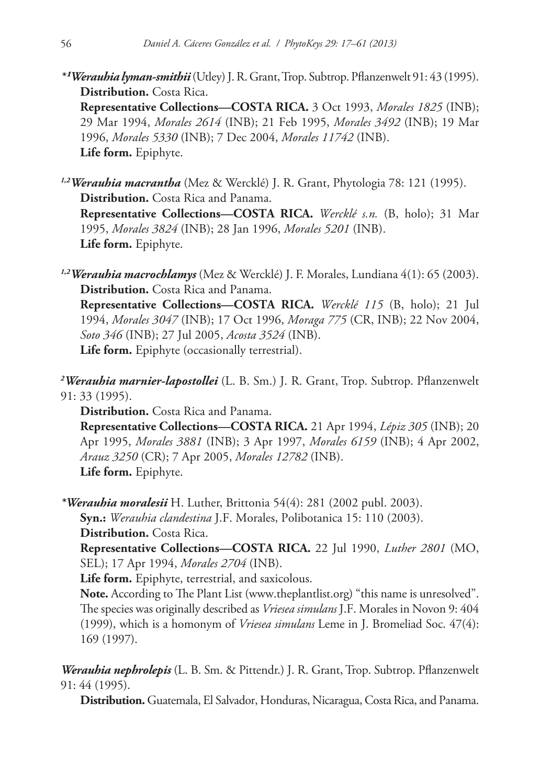*\*¹Werauhia lyman-smithii* (Utley) J. R. Grant, Trop. Subtrop. Pflanzenwelt 91: 43 (1995). **Distribution.** Costa Rica.

**Representative Collections—COSTA RICA.** 3 Oct 1993, *Morales 1825* (INB); 29 Mar 1994, *Morales 2614* (INB); 21 Feb 1995, *Morales 3492* (INB); 19 Mar 1996, *Morales 5330* (INB); 7 Dec 2004, *Morales 11742* (INB). **Life form.** Epiphyte.

*1,2Werauhia macrantha* (Mez & Wercklé) J. R. Grant, Phytologia 78: 121 (1995). **Distribution.** Costa Rica and Panama. **Representative Collections—COSTA RICA.** *Wercklé s.n.* (B, holo); 31 Mar 1995, *Morales 3824* (INB); 28 Jan 1996, *Morales 5201* (INB). **Life form.** Epiphyte.

*1,2Werauhia macrochlamys* (Mez & Wercklé) J. F. Morales, Lundiana 4(1): 65 (2003). **Distribution.** Costa Rica and Panama.

**Representative Collections—COSTA RICA.** *Wercklé 115* (B, holo); 21 Jul 1994, *Morales 3047* (INB); 17 Oct 1996, *Moraga 775* (CR, INB); 22 Nov 2004, *Soto 346* (INB); 27 Jul 2005, *Acosta 3524* (INB). **Life form.** Epiphyte (occasionally terrestrial).

*2 Werauhia marnier-lapostollei* (L. B. Sm.) J. R. Grant, Trop. Subtrop. Pflanzenwelt 91: 33 (1995).

**Distribution.** Costa Rica and Panama. **Representative Collections—COSTA RICA.** 21 Apr 1994, *Lépiz 305* (INB); 20 Apr 1995, *Morales 3881* (INB); 3 Apr 1997, *Morales 6159* (INB); 4 Apr 2002, *Arauz 3250* (CR); 7 Apr 2005, *Morales 12782* (INB). **Life form.** Epiphyte.

*\*Werauhia moralesii* H. Luther, Brittonia 54(4): 281 (2002 publ. 2003). **Syn.:** *Werauhia clandestina* J.F. Morales, [Polibotanica](http://www.ipni.org/ipni/idPublicationSearch.do;jsessionid=259C5367ABE776891170D9B1B15DEF59?back_page=&id=16727-2) 15: 110 (2003). **Distribution.** Costa Rica. **Representative Collections—COSTA RICA.** 22 Jul 1990, *Luther 2801* (MO,

SEL); 17 Apr 1994, *Morales 2704* (INB). **Life form.** Epiphyte, terrestrial, and saxicolous.

**Note.** According to The Plant List ([www.theplantlist.org](http://www.theplantlist.org)) "this name is unresolved". The species was originally described as *Vriesea simulans* J.F. Morales in Novon 9: 404 (1999), which is a homonym of *Vriesea simulans* Leme in J. Bromeliad Soc. 47(4): 169 (1997).

*Werauhia nephrolepis* (L. B. Sm. & Pittendr.) J. R. Grant, Trop. Subtrop. Pflanzenwelt 91: 44 (1995).

**Distribution.** Guatemala, El Salvador, Honduras, Nicaragua, Costa Rica, and Panama.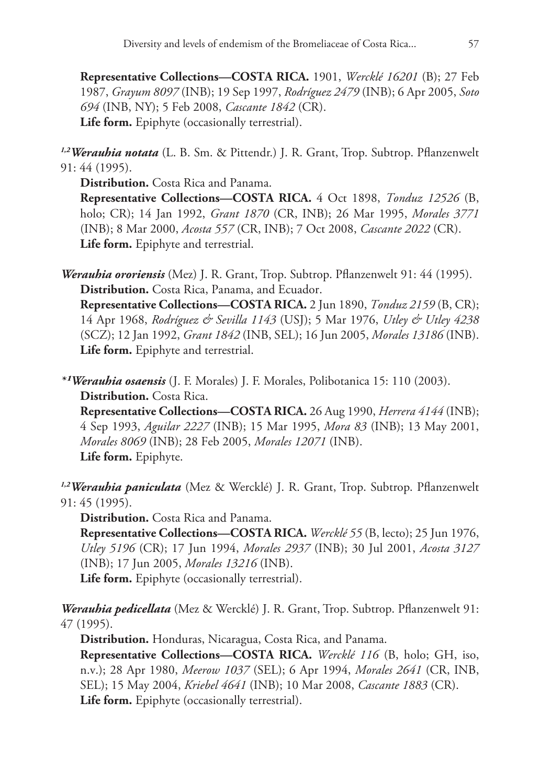**Representative Collections—COSTA RICA.** 1901, *Wercklé 16201* (B); 27 Feb 1987, *Grayum 8097* (INB); 19 Sep 1997, *Rodríguez 2479* (INB); 6 Apr 2005, *Soto 694* (INB, NY); 5 Feb 2008, *Cascante 1842* (CR). **Life form.** Epiphyte (occasionally terrestrial).

*1,2Werauhia notata* (L. B. Sm. & Pittendr.) J. R. Grant, Trop. Subtrop. Pflanzenwelt 91: 44 (1995).

**Distribution.** Costa Rica and Panama. **Representative Collections—COSTA RICA.** 4 Oct 1898, *Tonduz 12526* (B, holo; CR); 14 Jan 1992, *Grant 1870* (CR, INB); 26 Mar 1995, *Morales 3771* (INB); 8 Mar 2000, *Acosta 557* (CR, INB); 7 Oct 2008, *Cascante 2022* (CR). **Life form.** Epiphyte and terrestrial.

*Werauhia ororiensis* (Mez) J. R. Grant, Trop. Subtrop. Pflanzenwelt 91: 44 (1995). **Distribution.** Costa Rica, Panama, and Ecuador.

**Representative Collections—COSTA RICA.** 2 Jun 1890, *Tonduz 2159* (B, CR); 14 Apr 1968, *Rodríguez & Sevilla 1143* (USJ); 5 Mar 1976, *Utley & Utley 4238* (SCZ); 12 Jan 1992, *Grant 1842* (INB, SEL); 16 Jun 2005, *Morales 13186* (INB). **Life form.** Epiphyte and terrestrial.

*\*¹Werauhia osaensis* (J. F. Morales) J. F. Morales, Polibotanica 15: 110 (2003). **Distribution.** Costa Rica.

**Representative Collections—COSTA RICA.** 26 Aug 1990, *Herrera 4144* (INB); 4 Sep 1993, *Aguilar 2227* (INB); 15 Mar 1995, *Mora 83* (INB); 13 May 2001, *Morales 8069* (INB); 28 Feb 2005, *Morales 12071* (INB). **Life form.** Epiphyte.

*1,2Werauhia paniculata* (Mez & Wercklé) J. R. Grant, Trop. Subtrop. Pflanzenwelt 91: 45 (1995).

**Distribution.** Costa Rica and Panama.

**Representative Collections—COSTA RICA.** *Wercklé 55* (B, lecto); 25 Jun 1976, *Utley 5196* (CR); 17 Jun 1994, *Morales 2937* (INB); 30 Jul 2001, *Acosta 3127* (INB); 17 Jun 2005, *Morales 13216* (INB).

**Life form.** Epiphyte (occasionally terrestrial).

*Werauhia pedicellata* (Mez & Wercklé) J. R. Grant, Trop. Subtrop. Pflanzenwelt 91: 47 (1995).

**Distribution.** Honduras, Nicaragua, Costa Rica, and Panama.

**Representative Collections—COSTA RICA.** *Wercklé 116* (B, holo; GH, iso, n.v.); 28 Apr 1980, *Meerow 1037* (SEL); 6 Apr 1994, *Morales 2641* (CR, INB, SEL); 15 May 2004, *Kriebel 4641* (INB); 10 Mar 2008, *Cascante 1883* (CR). **Life form.** Epiphyte (occasionally terrestrial).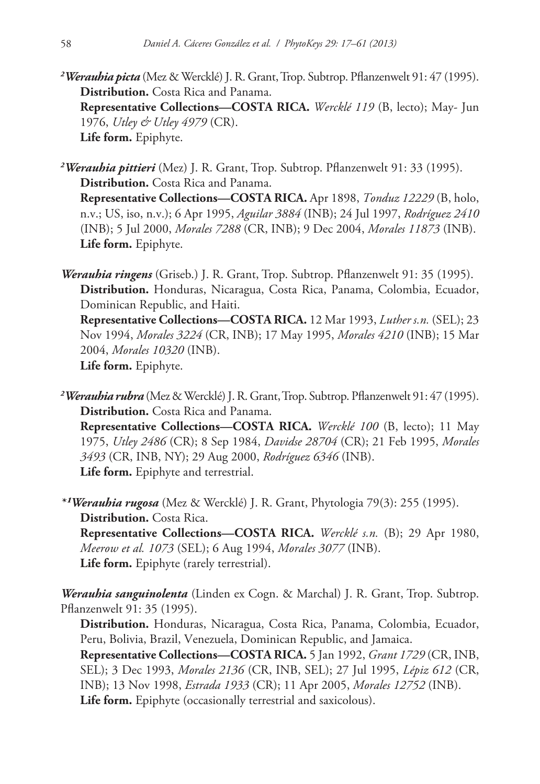*2 Werauhia picta* (Mez & Wercklé) J. R. Grant, Trop. Subtrop. Pflanzenwelt 91: 47 (1995). **Distribution.** Costa Rica and Panama. **Representative Collections—COSTA RICA.** *Wercklé 119* (B, lecto); May- Jun 1976, *Utley & Utley 4979* (CR). **Life form.** Epiphyte.

*2 Werauhia pittieri* (Mez) J. R. Grant, Trop. Subtrop. Pflanzenwelt 91: 33 (1995). **Distribution.** Costa Rica and Panama. **Representative Collections—COSTA RICA.** Apr 1898, *Tonduz 12229* (B, holo, n.v.; US, iso, n.v.); 6 Apr 1995, *Aguilar 3884* (INB); 24 Jul 1997, *Rodríguez 2410* (INB); 5 Jul 2000, *Morales 7288* (CR, INB); 9 Dec 2004, *Morales 11873* (INB). **Life form.** Epiphyte.

*Werauhia ringens* (Griseb.) J. R. Grant, Trop. Subtrop. Pflanzenwelt 91: 35 (1995). **Distribution.** Honduras, Nicaragua, Costa Rica, Panama, Colombia, Ecuador, Dominican Republic, and Haiti.

**Representative Collections—COSTA RICA.** 12 Mar 1993, *Luther s.n.* (SEL); 23 Nov 1994, *Morales 3224* (CR, INB); 17 May 1995, *Morales 4210* (INB); 15 Mar 2004, *Morales 10320* (INB).

**Life form.** Epiphyte.

*2 Werauhia rubra* (Mez & Wercklé) J. R. Grant, Trop. Subtrop. Pflanzenwelt 91: 47 (1995). **Distribution.** Costa Rica and Panama. **Representative Collections—COSTA RICA.** *Wercklé 100* (B, lecto); 11 May 1975, *Utley 2486* (CR); 8 Sep 1984, *Davidse 28704* (CR); 21 Feb 1995, *Morales 3493* (CR, INB, NY); 29 Aug 2000, *Rodríguez 6346* (INB). **Life form.** Epiphyte and terrestrial.

*\*¹Werauhia rugosa* (Mez & Wercklé) J. R. Grant, Phytologia 79(3): 255 (1995). **Distribution.** Costa Rica. **Representative Collections—COSTA RICA.** *Wercklé s.n.* (B); 29 Apr 1980, *Meerow et al. 1073* (SEL); 6 Aug 1994, *Morales 3077* (INB). **Life form.** Epiphyte (rarely terrestrial).

*Werauhia sanguinolenta* (Linden ex Cogn. & Marchal) J. R. Grant, Trop. Subtrop. Pflanzenwelt 91: 35 (1995).

**Distribution.** Honduras, Nicaragua, Costa Rica, Panama, Colombia, Ecuador, Peru, Bolivia, Brazil, Venezuela, Dominican Republic, and Jamaica.

**Representative Collections—COSTA RICA.** 5 Jan 1992, *Grant 1729* (CR, INB, SEL); 3 Dec 1993, *Morales 2136* (CR, INB, SEL); 27 Jul 1995, *Lépiz 612* (CR, INB); 13 Nov 1998, *Estrada 1933* (CR); 11 Apr 2005, *Morales 12752* (INB). **Life form.** Epiphyte (occasionally terrestrial and saxicolous).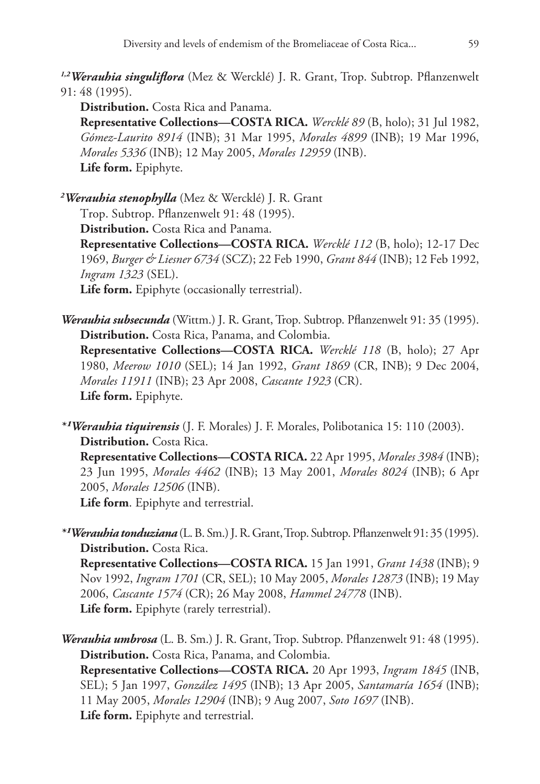*1,2Werauhia singuliflora* (Mez & Wercklé) J. R. Grant, Trop. Subtrop. Pflanzenwelt 91: 48 (1995).

**Distribution.** Costa Rica and Panama.

**Representative Collections—COSTA RICA.** *Wercklé 89* (B, holo); 31 Jul 1982, *Gómez-Laurito 8914* (INB); 31 Mar 1995, *Morales 4899* (INB); 19 Mar 1996, *Morales 5336* (INB); 12 May 2005, *Morales 12959* (INB). **Life form.** Epiphyte.

*2 Werauhia stenophylla* (Mez & Wercklé) J. R. Grant Trop. Subtrop. Pflanzenwelt 91: 48 (1995). **Distribution.** Costa Rica and Panama. **Representative Collections—COSTA RICA.** *Wercklé 112* (B, holo); 12-17 Dec 1969, *Burger & Liesner 6734* (SCZ); 22 Feb 1990, *Grant 844* (INB); 12 Feb 1992,

*Ingram 1323* (SEL).

**Life form.** Epiphyte (occasionally terrestrial).

*Werauhia subsecunda* (Wittm.) J. R. Grant, Trop. Subtrop. Pflanzenwelt 91: 35 (1995). **Distribution.** Costa Rica, Panama, and Colombia. **Representative Collections—COSTA RICA.** *Wercklé 118* (B, holo); 27 Apr 1980, *Meerow 1010* (SEL); 14 Jan 1992, *Grant 1869* (CR, INB); 9 Dec 2004, *Morales 11911* (INB); 23 Apr 2008, *Cascante 1923* (CR). **Life form.** Epiphyte.

*\*¹Werauhia tiquirensis* (J. F. Morales) J. F. Morales, Polibotanica 15: 110 (2003). **Distribution.** Costa Rica. **Representative Collections—COSTA RICA.** 22 Apr 1995, *Morales 3984* (INB); 23 Jun 1995, *Morales 4462* (INB); 13 May 2001, *Morales 8024* (INB); 6 Apr 2005, *Morales 12506* (INB).

**Life form**. Epiphyte and terrestrial.

*\*¹Werauhia tonduziana* (L. B. Sm.) J. R. Grant, Trop. Subtrop. Pflanzenwelt 91: 35 (1995). **Distribution.** Costa Rica.

**Representative Collections—COSTA RICA.** 15 Jan 1991, *Grant 1438* (INB); 9 Nov 1992, *Ingram 1701* (CR, SEL); 10 May 2005, *Morales 12873* (INB); 19 May 2006, *Cascante 1574* (CR); 26 May 2008, *Hammel 24778* (INB). **Life form.** Epiphyte (rarely terrestrial).

*Werauhia umbrosa* (L. B. Sm.) J. R. Grant, Trop. Subtrop. Pflanzenwelt 91: 48 (1995). **Distribution.** Costa Rica, Panama, and Colombia. **Representative Collections—COSTA RICA.** 20 Apr 1993, *Ingram 1845* (INB, SEL); 5 Jan 1997, *González 1495* (INB); 13 Apr 2005, *Santamaría 1654* (INB); 11 May 2005, *Morales 12904* (INB); 9 Aug 2007, *Soto 1697* (INB). **Life form.** Epiphyte and terrestrial.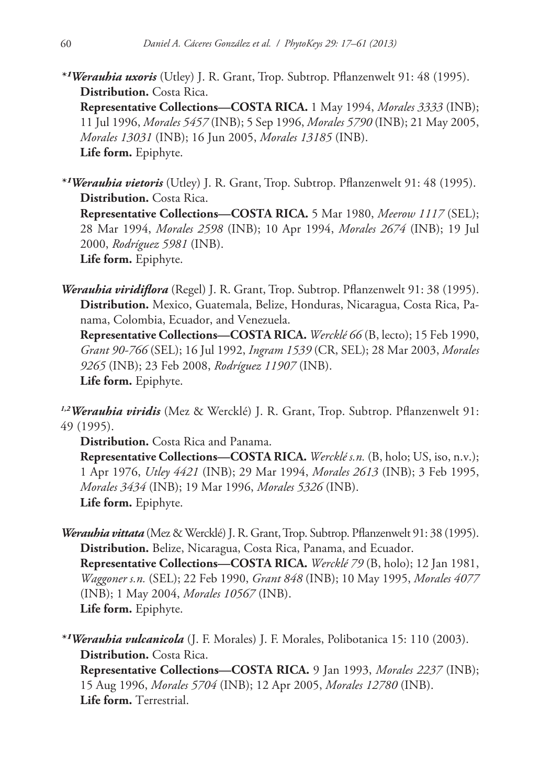*\*¹Werauhia uxoris* (Utley) J. R. Grant, Trop. Subtrop. Pflanzenwelt 91: 48 (1995). **Distribution.** Costa Rica.

**Representative Collections—COSTA RICA.** 1 May 1994, *Morales 3333* (INB); 11 Jul 1996, *Morales 5457* (INB); 5 Sep 1996, *Morales 5790* (INB); 21 May 2005, *Morales 13031* (INB); 16 Jun 2005, *Morales 13185* (INB). **Life form.** Epiphyte.

*\*¹Werauhia vietoris* (Utley) J. R. Grant, Trop. Subtrop. Pflanzenwelt 91: 48 (1995). **Distribution.** Costa Rica. **Representative Collections—COSTA RICA.** 5 Mar 1980, *Meerow 1117* (SEL); 28 Mar 1994, *Morales 2598* (INB); 10 Apr 1994, *Morales 2674* (INB); 19 Jul 2000, *Rodríguez 5981* (INB). **Life form.** Epiphyte.

*Werauhia viridiflora* (Regel) J. R. Grant, Trop. Subtrop. Pflanzenwelt 91: 38 (1995). **Distribution.** Mexico, Guatemala, Belize, Honduras, Nicaragua, Costa Rica, Panama, Colombia, Ecuador, and Venezuela.

**Representative Collections—COSTA RICA.** *Wercklé 66* (B, lecto); 15 Feb 1990, *Grant 90-766* (SEL); 16 Jul 1992, *Ingram 1539* (CR, SEL); 28 Mar 2003, *Morales 9265* (INB); 23 Feb 2008, *Rodríguez 11907* (INB). **Life form.** Epiphyte.

*1,2Werauhia viridis* (Mez & Wercklé) J. R. Grant, Trop. Subtrop. Pflanzenwelt 91: 49 (1995).

**Distribution.** Costa Rica and Panama.

**Representative Collections—COSTA RICA.** *Wercklé s.n.* (B, holo; US, iso, n.v.); 1 Apr 1976, *Utley 4421* (INB); 29 Mar 1994, *Morales 2613* (INB); 3 Feb 1995, *Morales 3434* (INB); 19 Mar 1996, *Morales 5326* (INB). **Life form.** Epiphyte.

*Werauhia vittata* (Mez & Wercklé) J. R. Grant, Trop. Subtrop. Pflanzenwelt 91: 38 (1995). **Distribution.** Belize, Nicaragua, Costa Rica, Panama, and Ecuador. **Representative Collections—COSTA RICA.** *Wercklé 79* (B, holo); 12 Jan 1981, *Waggoner s.n.* (SEL); 22 Feb 1990, *Grant 848* (INB); 10 May 1995, *Morales 4077* (INB); 1 May 2004, *Morales 10567* (INB). **Life form.** Epiphyte.

*\*¹Werauhia vulcanicola* (J. F. Morales) J. F. Morales, Polibotanica 15: 110 (2003). **Distribution.** Costa Rica. **Representative Collections—COSTA RICA.** 9 Jan 1993, *Morales 2237* (INB); 15 Aug 1996, *Morales 5704* (INB); 12 Apr 2005, *Morales 12780* (INB). **Life form.** Terrestrial.